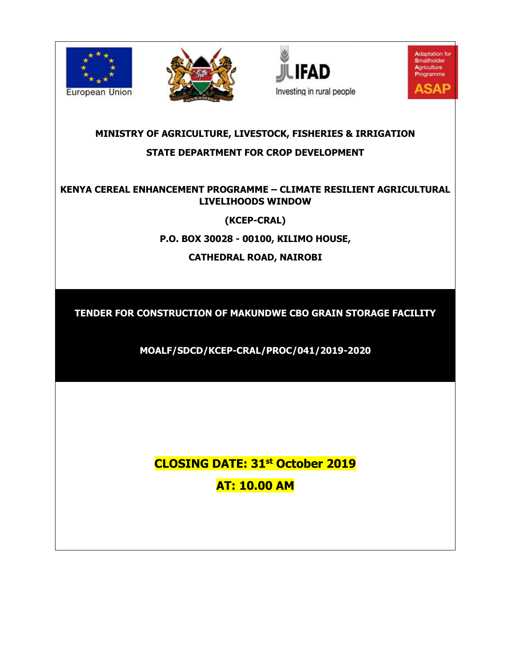







# **MINISTRY OF AGRICULTURE, LIVESTOCK, FISHERIES & IRRIGATION STATE DEPARTMENT FOR CROP DEVELOPMENT**

# **KENYA CEREAL ENHANCEMENT PROGRAMME – CLIMATE RESILIENT AGRICULTURAL LIVELIHOODS WINDOW**

**(KCEP-CRAL)**

**P.O. BOX 30028 - 00100, KILIMO HOUSE,**

**CATHEDRAL ROAD, NAIROBI**

**TENDER FOR CONSTRUCTION OF MAKUNDWE CBO GRAIN STORAGE FACILITY**

**MOALF/SDCD/KCEP-CRAL/PROC/041/2019-2020**

**CLOSING DATE: 31st October 2019 AT: 10.00 AM**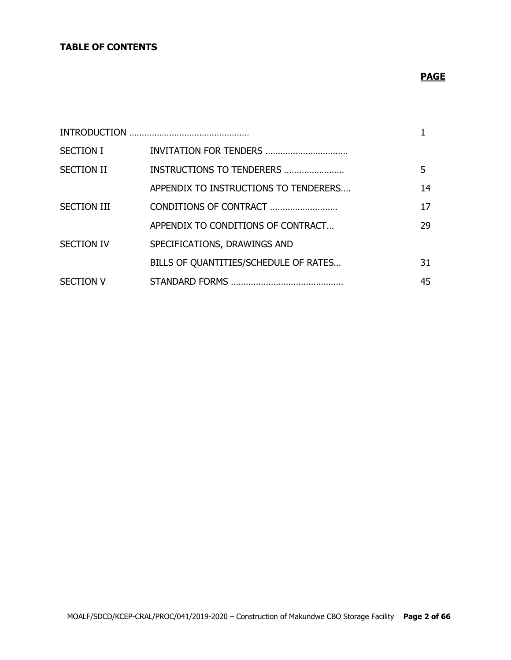# **TABLE OF CONTENTS**

# **PAGE**

| <b>SECTION I</b>   |                                       |    |
|--------------------|---------------------------------------|----|
| <b>SECTION II</b>  | INSTRUCTIONS TO TENDERERS             | 5  |
|                    | APPENDIX TO INSTRUCTIONS TO TENDERERS | 14 |
| <b>SECTION III</b> | CONDITIONS OF CONTRACT                | 17 |
|                    | APPENDIX TO CONDITIONS OF CONTRACT    | 29 |
| <b>SECTION IV</b>  | SPECIFICATIONS, DRAWINGS AND          |    |
|                    | BILLS OF QUANTITIES/SCHEDULE OF RATES | 31 |
| <b>SECTION V</b>   |                                       | 45 |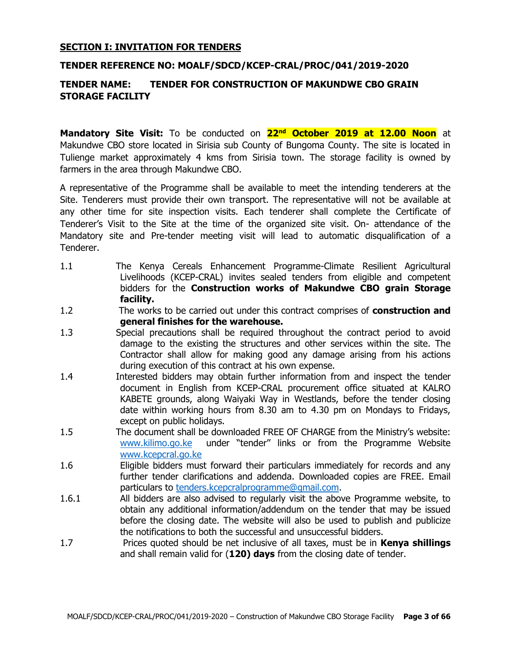#### **SECTION I: INVITATION FOR TENDERS**

#### **TENDER REFERENCE NO: MOALF/SDCD/KCEP-CRAL/PROC/041/2019-2020**

#### **TENDER NAME: TENDER FOR CONSTRUCTION OF MAKUNDWE CBO GRAIN STORAGE FACILITY**

**Mandatory Site Visit:** To be conducted on **22nd October 2019 at 12.00 Noon** at Makundwe CBO store located in Sirisia sub County of Bungoma County. The site is located in Tulienge market approximately 4 kms from Sirisia town. The storage facility is owned by farmers in the area through Makundwe CBO.

A representative of the Programme shall be available to meet the intending tenderers at the Site. Tenderers must provide their own transport. The representative will not be available at any other time for site inspection visits. Each tenderer shall complete the Certificate of Tenderer's Visit to the Site at the time of the organized site visit. On- attendance of the Mandatory site and Pre-tender meeting visit will lead to automatic disqualification of a Tenderer.

- 1.1 The Kenya Cereals Enhancement Programme-Climate Resilient Agricultural Livelihoods (KCEP-CRAL) invites sealed tenders from eligible and competent bidders for the **Construction works of Makundwe CBO grain Storage facility.**
- 1.2 The works to be carried out under this contract comprises of **construction and general finishes for the warehouse.**
- 1.3 Special precautions shall be required throughout the contract period to avoid damage to the existing the structures and other services within the site. The Contractor shall allow for making good any damage arising from his actions during execution of this contract at his own expense.
- 1.4 Interested bidders may obtain further information from and inspect the tender document in English from KCEP-CRAL procurement office situated at KALRO KABETE grounds, along Waiyaki Way in Westlands, before the tender closing date within working hours from 8.30 am to 4.30 pm on Mondays to Fridays, except on public holidays.
- 1.5 The document shall be downloaded FREE OF CHARGE from the Ministry's website: [www.kilimo.go.ke](http://www.kilimo.go.ke/) under "tender'' links or from the Programme Website [www.kcepcral.go.ke](http://www.kcepcral.go.ke/)
- 1.6 Eligible bidders must forward their particulars immediately for records and any further tender clarifications and addenda. Downloaded copies are FREE. Email particulars to [tenders.kcepcralprogramme@gmail.com.](mailto:tenders.kcepcralprogramme@gmail.com)
- 1.6.1 All bidders are also advised to regularly visit the above Programme website, to obtain any additional information/addendum on the tender that may be issued before the closing date. The website will also be used to publish and publicize the notifications to both the successful and unsuccessful bidders.
- 1.7 Prices quoted should be net inclusive of all taxes, must be in **Kenya shillings** and shall remain valid for (**120) days** from the closing date of tender.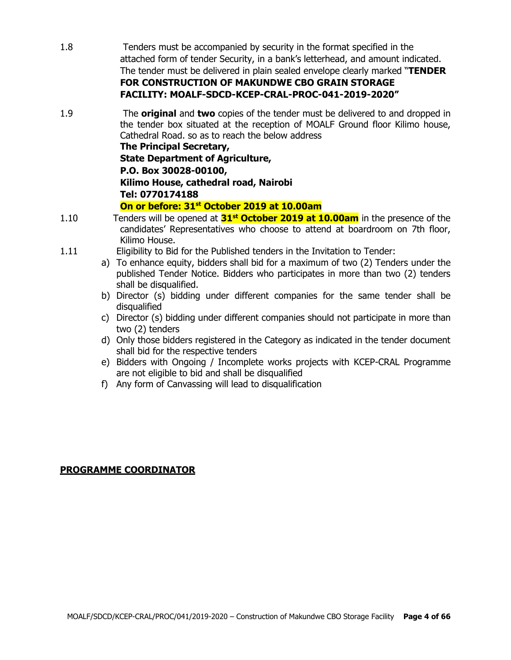- 1.8 Tenders must be accompanied by security in the format specified in the attached form of tender Security, in a bank's letterhead, and amount indicated. The tender must be delivered in plain sealed envelope clearly marked "**TENDER FOR CONSTRUCTION OF MAKUNDWE CBO GRAIN STORAGE FACILITY: MOALF-SDCD-KCEP-CRAL-PROC-041-2019-2020"**
- 1.9 The **original** and **two** copies of the tender must be delivered to and dropped in the tender box situated at the reception of MOALF Ground floor Kilimo house, Cathedral Road. so as to reach the below address

**The Principal Secretary, State Department of Agriculture, P.O. Box 30028-00100, Kilimo House, cathedral road, Nairobi Tel: 0770174188**

#### **On or before: 31st October 2019 at 10.00am**

- 1.10 Tenders will be opened at **31st October 2019 at 10.00am** in the presence of the candidates' Representatives who choose to attend at boardroom on 7th floor, Kilimo House.
- 1.11 Eligibility to Bid for the Published tenders in the Invitation to Tender:
	- a) To enhance equity, bidders shall bid for a maximum of two (2) Tenders under the published Tender Notice. Bidders who participates in more than two (2) tenders shall be disqualified.
	- b) Director (s) bidding under different companies for the same tender shall be disqualified
	- c) Director (s) bidding under different companies should not participate in more than two (2) tenders
	- d) Only those bidders registered in the Category as indicated in the tender document shall bid for the respective tenders
	- e) Bidders with Ongoing / Incomplete works projects with KCEP-CRAL Programme are not eligible to bid and shall be disqualified
	- f) Any form of Canvassing will lead to disqualification

# **PROGRAMME COORDINATOR**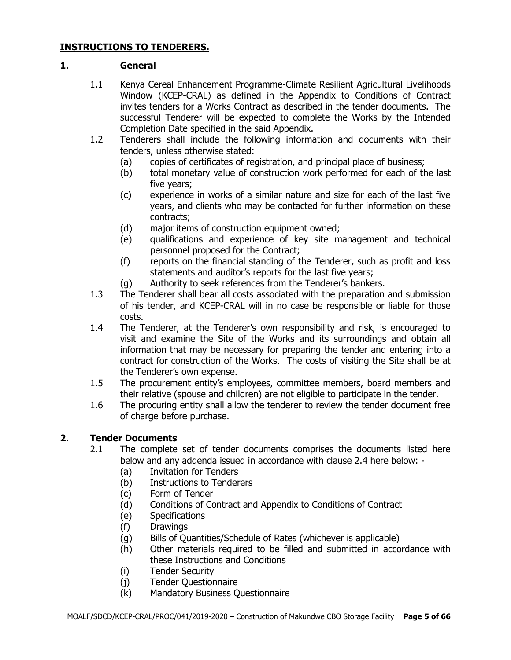## **INSTRUCTIONS TO TENDERERS.**

#### **1. General**

- 1.1 Kenya Cereal Enhancement Programme-Climate Resilient Agricultural Livelihoods Window (KCEP-CRAL) as defined in the Appendix to Conditions of Contract invites tenders for a Works Contract as described in the tender documents. The successful Tenderer will be expected to complete the Works by the Intended Completion Date specified in the said Appendix.
- 1.2 Tenderers shall include the following information and documents with their tenders, unless otherwise stated:
	- (a) copies of certificates of registration, and principal place of business;
	- (b) total monetary value of construction work performed for each of the last five years;
	- (c) experience in works of a similar nature and size for each of the last five years, and clients who may be contacted for further information on these contracts;
	- (d) major items of construction equipment owned;
	- (e) qualifications and experience of key site management and technical personnel proposed for the Contract;
	- (f) reports on the financial standing of the Tenderer, such as profit and loss statements and auditor's reports for the last five years;
	- (g) Authority to seek references from the Tenderer's bankers.
- 1.3 The Tenderer shall bear all costs associated with the preparation and submission of his tender, and KCEP-CRAL will in no case be responsible or liable for those costs.
- 1.4 The Tenderer, at the Tenderer's own responsibility and risk, is encouraged to visit and examine the Site of the Works and its surroundings and obtain all information that may be necessary for preparing the tender and entering into a contract for construction of the Works. The costs of visiting the Site shall be at the Tenderer's own expense.
- 1.5 The procurement entity's employees, committee members, board members and their relative (spouse and children) are not eligible to participate in the tender.
- 1.6 The procuring entity shall allow the tenderer to review the tender document free of charge before purchase.

# **2. Tender Documents**

- 2.1 The complete set of tender documents comprises the documents listed here below and any addenda issued in accordance with clause 2.4 here below: -
	- (a) Invitation for Tenders
	- (b) Instructions to Tenderers
	- (c) Form of Tender
	- (d) Conditions of Contract and Appendix to Conditions of Contract
	- (e) Specifications
	- (f) Drawings
	- (g) Bills of Quantities/Schedule of Rates (whichever is applicable)
	- (h) Other materials required to be filled and submitted in accordance with these Instructions and Conditions
	- (i) Tender Security
	- (j) Tender Questionnaire
	- (k) Mandatory Business Questionnaire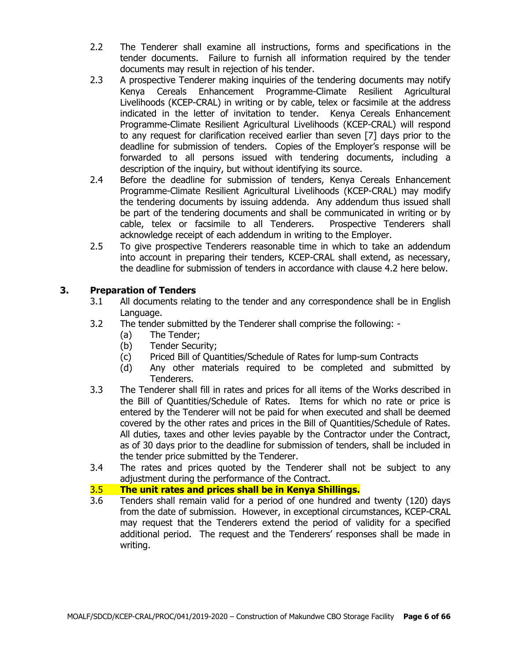- 2.2 The Tenderer shall examine all instructions, forms and specifications in the tender documents. Failure to furnish all information required by the tender documents may result in rejection of his tender.
- 2.3 A prospective Tenderer making inquiries of the tendering documents may notify Kenya Cereals Enhancement Programme-Climate Resilient Agricultural Livelihoods (KCEP-CRAL) in writing or by cable, telex or facsimile at the address indicated in the letter of invitation to tender. Kenya Cereals Enhancement Programme-Climate Resilient Agricultural Livelihoods (KCEP-CRAL) will respond to any request for clarification received earlier than seven [7] days prior to the deadline for submission of tenders. Copies of the Employer's response will be forwarded to all persons issued with tendering documents, including a description of the inquiry, but without identifying its source.
- 2.4 Before the deadline for submission of tenders, Kenya Cereals Enhancement Programme-Climate Resilient Agricultural Livelihoods (KCEP-CRAL) may modify the tendering documents by issuing addenda. Any addendum thus issued shall be part of the tendering documents and shall be communicated in writing or by cable, telex or facsimile to all Tenderers. Prospective Tenderers shall acknowledge receipt of each addendum in writing to the Employer.
- 2.5 To give prospective Tenderers reasonable time in which to take an addendum into account in preparing their tenders, KCEP-CRAL shall extend, as necessary, the deadline for submission of tenders in accordance with clause 4.2 here below.

# **3. Preparation of Tenders**

- 3.1 All documents relating to the tender and any correspondence shall be in English Language.
- 3.2 The tender submitted by the Tenderer shall comprise the following:
	- (a) The Tender;
	- (b) Tender Security;
	- (c) Priced Bill of Quantities/Schedule of Rates for lump-sum Contracts
	- (d) Any other materials required to be completed and submitted by Tenderers.
- 3.3 The Tenderer shall fill in rates and prices for all items of the Works described in the Bill of Quantities/Schedule of Rates. Items for which no rate or price is entered by the Tenderer will not be paid for when executed and shall be deemed covered by the other rates and prices in the Bill of Quantities/Schedule of Rates. All duties, taxes and other levies payable by the Contractor under the Contract, as of 30 days prior to the deadline for submission of tenders, shall be included in the tender price submitted by the Tenderer.
- 3.4 The rates and prices quoted by the Tenderer shall not be subject to any adjustment during the performance of the Contract.

# 3.5 **The unit rates and prices shall be in Kenya Shillings.**

3.6 Tenders shall remain valid for a period of one hundred and twenty (120) days from the date of submission. However, in exceptional circumstances, KCEP-CRAL may request that the Tenderers extend the period of validity for a specified additional period. The request and the Tenderers' responses shall be made in writing.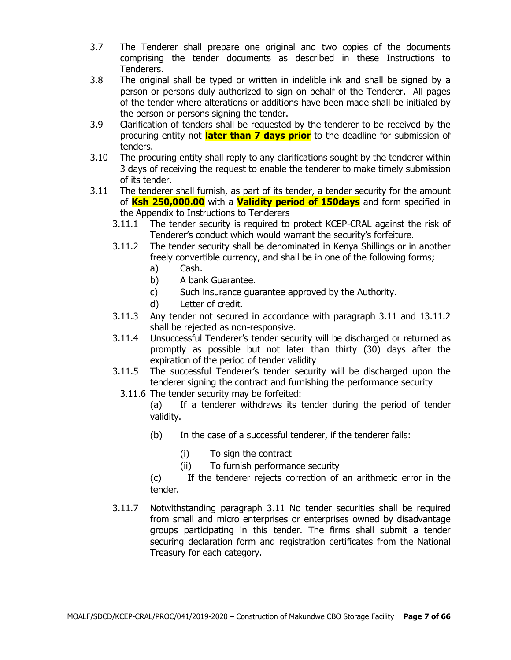- 3.7 The Tenderer shall prepare one original and two copies of the documents comprising the tender documents as described in these Instructions to Tenderers.
- 3.8 The original shall be typed or written in indelible ink and shall be signed by a person or persons duly authorized to sign on behalf of the Tenderer. All pages of the tender where alterations or additions have been made shall be initialed by the person or persons signing the tender.
- 3.9 Clarification of tenders shall be requested by the tenderer to be received by the procuring entity not **later than 7 days prior** to the deadline for submission of tenders.
- 3.10 The procuring entity shall reply to any clarifications sought by the tenderer within 3 days of receiving the request to enable the tenderer to make timely submission of its tender.
- 3.11 The tenderer shall furnish, as part of its tender, a tender security for the amount of **Ksh 250,000.00** with a **Validity period of 150days** and form specified in the Appendix to Instructions to Tenderers
	- 3.11.1 The tender security is required to protect KCEP-CRAL against the risk of Tenderer's conduct which would warrant the security's forfeiture.
	- 3.11.2 The tender security shall be denominated in Kenya Shillings or in another freely convertible currency, and shall be in one of the following forms;
		- a) Cash.
		- b) A bank Guarantee.
		- c) Such insurance guarantee approved by the Authority.
		- d) Letter of credit.
	- 3.11.3 Any tender not secured in accordance with paragraph 3.11 and 13.11.2 shall be rejected as non-responsive.
	- 3.11.4 Unsuccessful Tenderer's tender security will be discharged or returned as promptly as possible but not later than thirty (30) days after the expiration of the period of tender validity
	- 3.11.5 The successful Tenderer's tender security will be discharged upon the tenderer signing the contract and furnishing the performance security
		- 3.11.6 The tender security may be forfeited:

(a) If a tenderer withdraws its tender during the period of tender validity.

- (b) In the case of a successful tenderer, if the tenderer fails:
	- (i) To sign the contract
	- (ii) To furnish performance security

(c) If the tenderer rejects correction of an arithmetic error in the tender.

3.11.7 Notwithstanding paragraph 3.11 No tender securities shall be required from small and micro enterprises or enterprises owned by disadvantage groups participating in this tender. The firms shall submit a tender securing declaration form and registration certificates from the National Treasury for each category.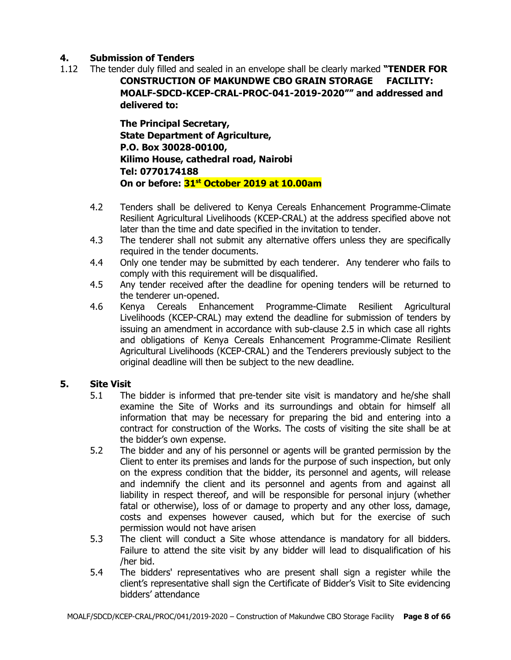# **4. Submission of Tenders**

1.12 The tender duly filled and sealed in an envelope shall be clearly marked **"TENDER FOR CONSTRUCTION OF MAKUNDWE CBO GRAIN STORAGE FACILITY: MOALF-SDCD-KCEP-CRAL-PROC-041-2019-2020"" and addressed and delivered to:**

> **The Principal Secretary, State Department of Agriculture, P.O. Box 30028-00100, Kilimo House, cathedral road, Nairobi Tel: 0770174188 On or before: 31st October 2019 at 10.00am**

- 4.2 Tenders shall be delivered to Kenya Cereals Enhancement Programme-Climate Resilient Agricultural Livelihoods (KCEP-CRAL) at the address specified above not later than the time and date specified in the invitation to tender.
- 4.3 The tenderer shall not submit any alternative offers unless they are specifically required in the tender documents.
- 4.4 Only one tender may be submitted by each tenderer. Any tenderer who fails to comply with this requirement will be disqualified.
- 4.5 Any tender received after the deadline for opening tenders will be returned to the tenderer un-opened.
- 4.6 Kenya Cereals Enhancement Programme-Climate Resilient Agricultural Livelihoods (KCEP-CRAL) may extend the deadline for submission of tenders by issuing an amendment in accordance with sub-clause 2.5 in which case all rights and obligations of Kenya Cereals Enhancement Programme-Climate Resilient Agricultural Livelihoods (KCEP-CRAL) and the Tenderers previously subject to the original deadline will then be subject to the new deadline.

# **5. Site Visit**

- 5.1 The bidder is informed that pre-tender site visit is mandatory and he/she shall examine the Site of Works and its surroundings and obtain for himself all information that may be necessary for preparing the bid and entering into a contract for construction of the Works. The costs of visiting the site shall be at the bidder's own expense.
- 5.2 The bidder and any of his personnel or agents will be granted permission by the Client to enter its premises and lands for the purpose of such inspection, but only on the express condition that the bidder, its personnel and agents, will release and indemnify the client and its personnel and agents from and against all liability in respect thereof, and will be responsible for personal injury (whether fatal or otherwise), loss of or damage to property and any other loss, damage, costs and expenses however caused, which but for the exercise of such permission would not have arisen
- 5.3 The client will conduct a Site whose attendance is mandatory for all bidders. Failure to attend the site visit by any bidder will lead to disqualification of his /her bid.
- 5.4 The bidders' representatives who are present shall sign a register while the client's representative shall sign the Certificate of Bidder's Visit to Site evidencing bidders' attendance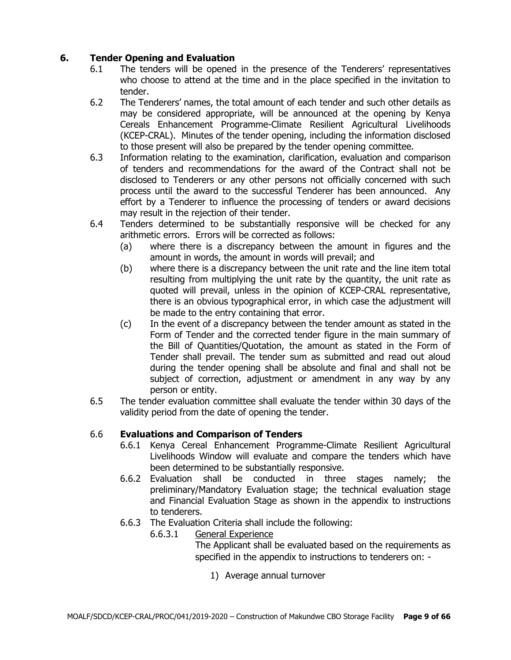# **6. Tender Opening and Evaluation**

- 6.1 The tenders will be opened in the presence of the Tenderers' representatives who choose to attend at the time and in the place specified in the invitation to tender.
- 6.2 The Tenderers' names, the total amount of each tender and such other details as may be considered appropriate, will be announced at the opening by Kenya Cereals Enhancement Programme-Climate Resilient Agricultural Livelihoods (KCEP-CRAL). Minutes of the tender opening, including the information disclosed to those present will also be prepared by the tender opening committee.
- 6.3 Information relating to the examination, clarification, evaluation and comparison of tenders and recommendations for the award of the Contract shall not be disclosed to Tenderers or any other persons not officially concerned with such process until the award to the successful Tenderer has been announced. Any effort by a Tenderer to influence the processing of tenders or award decisions may result in the rejection of their tender.
- 6.4 Tenders determined to be substantially responsive will be checked for any arithmetic errors. Errors will be corrected as follows:
	- (a) where there is a discrepancy between the amount in figures and the amount in words, the amount in words will prevail; and
	- (b) where there is a discrepancy between the unit rate and the line item total resulting from multiplying the unit rate by the quantity, the unit rate as quoted will prevail, unless in the opinion of KCEP-CRAL representative, there is an obvious typographical error, in which case the adjustment will be made to the entry containing that error.
	- (c) In the event of a discrepancy between the tender amount as stated in the Form of Tender and the corrected tender figure in the main summary of the Bill of Quantities/Quotation, the amount as stated in the Form of Tender shall prevail. The tender sum as submitted and read out aloud during the tender opening shall be absolute and final and shall not be subject of correction, adjustment or amendment in any way by any person or entity.
- 6.5 The tender evaluation committee shall evaluate the tender within 30 days of the validity period from the date of opening the tender.

# 6.6 **Evaluations and Comparison of Tenders**

- 6.6.1 Kenya Cereal Enhancement Programme-Climate Resilient Agricultural Livelihoods Window will evaluate and compare the tenders which have been determined to be substantially responsive.
- 6.6.2 Evaluation shall be conducted in three stages namely; the preliminary/Mandatory Evaluation stage; the technical evaluation stage and Financial Evaluation Stage as shown in the appendix to instructions to tenderers.
- 6.6.3 The Evaluation Criteria shall include the following:
	- 6.6.3.1 General Experience

The Applicant shall be evaluated based on the requirements as specified in the appendix to instructions to tenderers on: -

1) Average annual turnover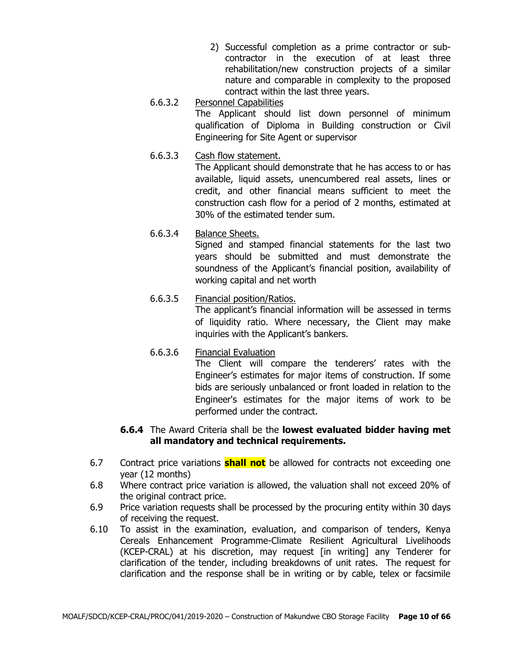- 2) Successful completion as a prime contractor or subcontractor in the execution of at least three rehabilitation/new construction projects of a similar nature and comparable in complexity to the proposed contract within the last three years.
- 6.6.3.2 Personnel Capabilities The Applicant should list down personnel of minimum qualification of Diploma in Building construction or Civil Engineering for Site Agent or supervisor
- 6.6.3.3 Cash flow statement.

The Applicant should demonstrate that he has access to or has available, liquid assets, unencumbered real assets, lines or credit, and other financial means sufficient to meet the construction cash flow for a period of 2 months, estimated at 30% of the estimated tender sum.

6.6.3.4 Balance Sheets.

Signed and stamped financial statements for the last two years should be submitted and must demonstrate the soundness of the Applicant's financial position, availability of working capital and net worth

# 6.6.3.5 Financial position/Ratios.

The applicant's financial information will be assessed in terms of liquidity ratio. Where necessary, the Client may make inquiries with the Applicant's bankers.

6.6.3.6 Financial Evaluation The Client will compare the tenderers' rates with the Engineer's estimates for major items of construction. If some bids are seriously unbalanced or front loaded in relation to the Engineer's estimates for the major items of work to be performed under the contract.

# **6.6.4** The Award Criteria shall be the **lowest evaluated bidder having met all mandatory and technical requirements.**

- 6.7 Contract price variations **shall not** be allowed for contracts not exceeding one year (12 months)
- 6.8 Where contract price variation is allowed, the valuation shall not exceed 20% of the original contract price.
- 6.9 Price variation requests shall be processed by the procuring entity within 30 days of receiving the request.
- 6.10 To assist in the examination, evaluation, and comparison of tenders, Kenya Cereals Enhancement Programme-Climate Resilient Agricultural Livelihoods (KCEP-CRAL) at his discretion, may request [in writing] any Tenderer for clarification of the tender, including breakdowns of unit rates. The request for clarification and the response shall be in writing or by cable, telex or facsimile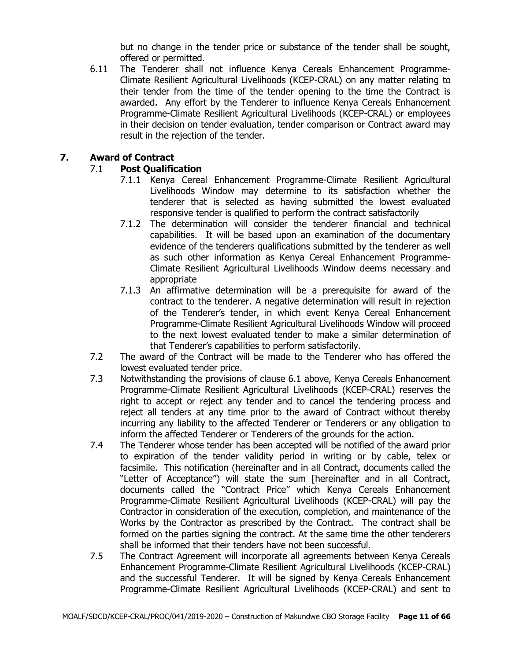but no change in the tender price or substance of the tender shall be sought, offered or permitted.

6.11 The Tenderer shall not influence Kenya Cereals Enhancement Programme-Climate Resilient Agricultural Livelihoods (KCEP-CRAL) on any matter relating to their tender from the time of the tender opening to the time the Contract is awarded. Any effort by the Tenderer to influence Kenya Cereals Enhancement Programme-Climate Resilient Agricultural Livelihoods (KCEP-CRAL) or employees in their decision on tender evaluation, tender comparison or Contract award may result in the rejection of the tender.

# **7. Award of Contract**

# 7.1 **Post Qualification**

- 7.1.1 Kenya Cereal Enhancement Programme-Climate Resilient Agricultural Livelihoods Window may determine to its satisfaction whether the tenderer that is selected as having submitted the lowest evaluated responsive tender is qualified to perform the contract satisfactorily
- 7.1.2 The determination will consider the tenderer financial and technical capabilities. It will be based upon an examination of the documentary evidence of the tenderers qualifications submitted by the tenderer as well as such other information as Kenya Cereal Enhancement Programme-Climate Resilient Agricultural Livelihoods Window deems necessary and appropriate
- 7.1.3 An affirmative determination will be a prerequisite for award of the contract to the tenderer. A negative determination will result in rejection of the Tenderer's tender, in which event Kenya Cereal Enhancement Programme-Climate Resilient Agricultural Livelihoods Window will proceed to the next lowest evaluated tender to make a similar determination of that Tenderer's capabilities to perform satisfactorily.
- 7.2 The award of the Contract will be made to the Tenderer who has offered the lowest evaluated tender price.
- 7.3 Notwithstanding the provisions of clause 6.1 above, Kenya Cereals Enhancement Programme-Climate Resilient Agricultural Livelihoods (KCEP-CRAL) reserves the right to accept or reject any tender and to cancel the tendering process and reject all tenders at any time prior to the award of Contract without thereby incurring any liability to the affected Tenderer or Tenderers or any obligation to inform the affected Tenderer or Tenderers of the grounds for the action.
- 7.4 The Tenderer whose tender has been accepted will be notified of the award prior to expiration of the tender validity period in writing or by cable, telex or facsimile. This notification (hereinafter and in all Contract, documents called the "Letter of Acceptance") will state the sum [hereinafter and in all Contract, documents called the "Contract Price" which Kenya Cereals Enhancement Programme-Climate Resilient Agricultural Livelihoods (KCEP-CRAL) will pay the Contractor in consideration of the execution, completion, and maintenance of the Works by the Contractor as prescribed by the Contract. The contract shall be formed on the parties signing the contract. At the same time the other tenderers shall be informed that their tenders have not been successful.
- 7.5 The Contract Agreement will incorporate all agreements between Kenya Cereals Enhancement Programme-Climate Resilient Agricultural Livelihoods (KCEP-CRAL) and the successful Tenderer. It will be signed by Kenya Cereals Enhancement Programme-Climate Resilient Agricultural Livelihoods (KCEP-CRAL) and sent to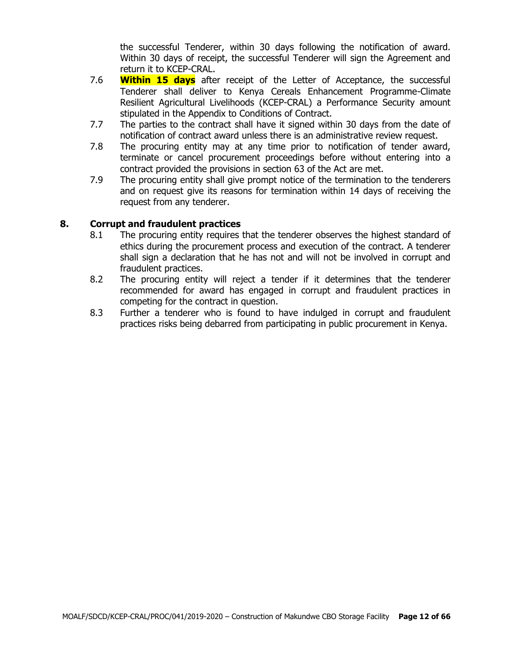the successful Tenderer, within 30 days following the notification of award. Within 30 days of receipt, the successful Tenderer will sign the Agreement and return it to KCEP-CRAL.

- 7.6 **Within 15 days** after receipt of the Letter of Acceptance, the successful Tenderer shall deliver to Kenya Cereals Enhancement Programme-Climate Resilient Agricultural Livelihoods (KCEP-CRAL) a Performance Security amount stipulated in the Appendix to Conditions of Contract.
- 7.7 The parties to the contract shall have it signed within 30 days from the date of notification of contract award unless there is an administrative review request.
- 7.8 The procuring entity may at any time prior to notification of tender award, terminate or cancel procurement proceedings before without entering into a contract provided the provisions in section 63 of the Act are met.
- 7.9 The procuring entity shall give prompt notice of the termination to the tenderers and on request give its reasons for termination within 14 days of receiving the request from any tenderer.

#### **8. Corrupt and fraudulent practices**

- 8.1 The procuring entity requires that the tenderer observes the highest standard of ethics during the procurement process and execution of the contract. A tenderer shall sign a declaration that he has not and will not be involved in corrupt and fraudulent practices.
- 8.2 The procuring entity will reject a tender if it determines that the tenderer recommended for award has engaged in corrupt and fraudulent practices in competing for the contract in question.
- 8.3 Further a tenderer who is found to have indulged in corrupt and fraudulent practices risks being debarred from participating in public procurement in Kenya.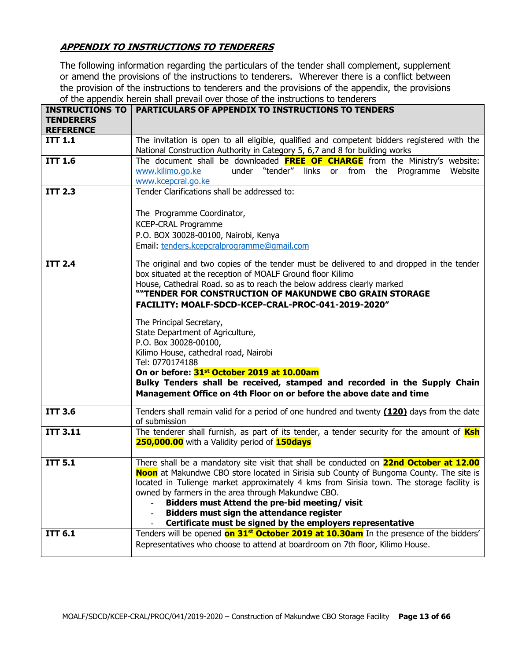# **APPENDIX TO INSTRUCTIONS TO TENDERERS**

The following information regarding the particulars of the tender shall complement, supplement or amend the provisions of the instructions to tenderers. Wherever there is a conflict between the provision of the instructions to tenderers and the provisions of the appendix, the provisions of the appendix herein shall prevail over those of the instructions to tenderers

| <b>INSTRUCTIONS TO</b>             | <b>PARTICULARS OF APPENDIX TO INSTRUCTIONS TO TENDERS</b>                                                                                                        |
|------------------------------------|------------------------------------------------------------------------------------------------------------------------------------------------------------------|
| <b>TENDERERS</b>                   |                                                                                                                                                                  |
| <b>REFERENCE</b><br><b>ITT 1.1</b> | The invitation is open to all eligible, qualified and competent bidders registered with the                                                                      |
|                                    | National Construction Authority in Category 5, 6,7 and 8 for building works                                                                                      |
| <b>ITT 1.6</b>                     | The document shall be downloaded FREE OF CHARGE from the Ministry's website:                                                                                     |
|                                    | under "tender" links or from the Programme<br>www.kilimo.go.ke<br>Website                                                                                        |
|                                    | www.kcepcral.go.ke                                                                                                                                               |
| <b>ITT 2.3</b>                     | Tender Clarifications shall be addressed to:                                                                                                                     |
|                                    |                                                                                                                                                                  |
|                                    | The Programme Coordinator,                                                                                                                                       |
|                                    | <b>KCEP-CRAL Programme</b>                                                                                                                                       |
|                                    | P.O. BOX 30028-00100, Nairobi, Kenya                                                                                                                             |
|                                    | Email: tenders.kcepcralprogramme@gmail.com                                                                                                                       |
|                                    |                                                                                                                                                                  |
| <b>ITT 2.4</b>                     | The original and two copies of the tender must be delivered to and dropped in the tender                                                                         |
|                                    | box situated at the reception of MOALF Ground floor Kilimo                                                                                                       |
|                                    | House, Cathedral Road. so as to reach the below address clearly marked<br>""TENDER FOR CONSTRUCTION OF MAKUNDWE CBO GRAIN STORAGE                                |
|                                    | FACILITY: MOALF-SDCD-KCEP-CRAL-PROC-041-2019-2020"                                                                                                               |
|                                    |                                                                                                                                                                  |
|                                    | The Principal Secretary,                                                                                                                                         |
|                                    | State Department of Agriculture,                                                                                                                                 |
|                                    | P.O. Box 30028-00100,                                                                                                                                            |
|                                    | Kilimo House, cathedral road, Nairobi                                                                                                                            |
|                                    | Tel: 0770174188                                                                                                                                                  |
|                                    | On or before: 31st October 2019 at 10.00am                                                                                                                       |
|                                    | Bulky Tenders shall be received, stamped and recorded in the Supply Chain                                                                                        |
|                                    | Management Office on 4th Floor on or before the above date and time                                                                                              |
| <b>ITT 3.6</b>                     | Tenders shall remain valid for a period of one hundred and twenty (120) days from the date                                                                       |
|                                    | of submission                                                                                                                                                    |
| <b>ITT 3.11</b>                    | The tenderer shall furnish, as part of its tender, a tender security for the amount of <b>Ksh</b>                                                                |
|                                    | 250,000.00 with a Validity period of 150days                                                                                                                     |
|                                    |                                                                                                                                                                  |
| <b>ITT 5.1</b>                     | There shall be a mandatory site visit that shall be conducted on 22nd October at 12.00                                                                           |
|                                    | Noon at Makundwe CBO store located in Sirisia sub County of Bungoma County. The site is                                                                          |
|                                    | located in Tulienge market approximately 4 kms from Sirisia town. The storage facility is                                                                        |
|                                    | owned by farmers in the area through Makundwe CBO.                                                                                                               |
|                                    | Bidders must Attend the pre-bid meeting/visit                                                                                                                    |
|                                    | <b>Bidders must sign the attendance register</b>                                                                                                                 |
| <b>ITT 6.1</b>                     | Certificate must be signed by the employers representative<br>Tenders will be opened on 31 <sup>st</sup> October 2019 at 10.30am In the presence of the bidders' |
|                                    | Representatives who choose to attend at boardroom on 7th floor, Kilimo House.                                                                                    |
|                                    |                                                                                                                                                                  |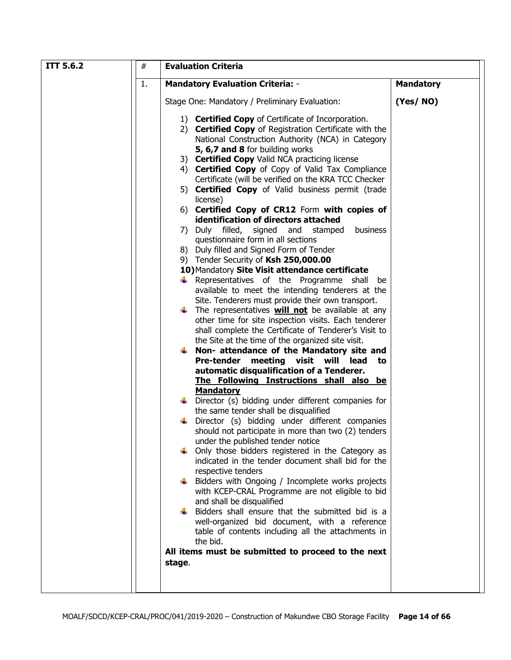| <b>ITT 5.6.2</b> | $\#$ | <b>Evaluation Criteria</b>                                                                                                                                                                                                                                                                                                                                                                                                                                                                                                                                                                                                                                                                                                                                                                                                                                                                                                                                                                                                                                                                                                                                                                                                                                                                                                                                                                                                                                                                                                                                                                                                                                                                                                                                                                                                                            |                  |  |  |  |
|------------------|------|-------------------------------------------------------------------------------------------------------------------------------------------------------------------------------------------------------------------------------------------------------------------------------------------------------------------------------------------------------------------------------------------------------------------------------------------------------------------------------------------------------------------------------------------------------------------------------------------------------------------------------------------------------------------------------------------------------------------------------------------------------------------------------------------------------------------------------------------------------------------------------------------------------------------------------------------------------------------------------------------------------------------------------------------------------------------------------------------------------------------------------------------------------------------------------------------------------------------------------------------------------------------------------------------------------------------------------------------------------------------------------------------------------------------------------------------------------------------------------------------------------------------------------------------------------------------------------------------------------------------------------------------------------------------------------------------------------------------------------------------------------------------------------------------------------------------------------------------------------|------------------|--|--|--|
|                  | 1.   | <b>Mandatory Evaluation Criteria: -</b>                                                                                                                                                                                                                                                                                                                                                                                                                                                                                                                                                                                                                                                                                                                                                                                                                                                                                                                                                                                                                                                                                                                                                                                                                                                                                                                                                                                                                                                                                                                                                                                                                                                                                                                                                                                                               | <b>Mandatory</b> |  |  |  |
|                  |      | Stage One: Mandatory / Preliminary Evaluation:                                                                                                                                                                                                                                                                                                                                                                                                                                                                                                                                                                                                                                                                                                                                                                                                                                                                                                                                                                                                                                                                                                                                                                                                                                                                                                                                                                                                                                                                                                                                                                                                                                                                                                                                                                                                        | (Yes/NO)         |  |  |  |
|                  |      | 1) Certified Copy of Certificate of Incorporation.<br>2) <b>Certified Copy</b> of Registration Certificate with the<br>National Construction Authority (NCA) in Category<br>5, 6,7 and 8 for building works<br>3) Certified Copy Valid NCA practicing license<br>4) Certified Copy of Copy of Valid Tax Compliance<br>Certificate (will be verified on the KRA TCC Checker<br>5) <b>Certified Copy</b> of Valid business permit (trade<br>license)<br>6) Certified Copy of CR12 Form with copies of<br>identification of directors attached<br>7) Duly filled, signed and<br>business<br>stamped<br>questionnaire form in all sections<br>8) Duly filled and Signed Form of Tender<br>9) Tender Security of Ksh 250,000.00<br>10) Mandatory Site Visit attendance certificate<br>$\downarrow$ Representatives of the Programme shall<br>be<br>available to meet the intending tenderers at the<br>Site. Tenderers must provide their own transport.<br>$\downarrow$ The representatives <b>will not</b> be available at any<br>other time for site inspection visits. Each tenderer<br>shall complete the Certificate of Tenderer's Visit to<br>the Site at the time of the organized site visit.<br>$\downarrow$ Non- attendance of the Mandatory site and<br>Pre-tender meeting visit will lead<br>to<br>automatic disqualification of a Tenderer.<br>The Following Instructions shall also be<br><b>Mandatory</b><br>Director (s) bidding under different companies for<br>the same tender shall be disqualified<br>Director (s) bidding under different companies<br>should not participate in more than two (2) tenders<br>under the published tender notice<br>Only those bidders registered in the Category as<br>indicated in the tender document shall bid for the<br>respective tenders<br>Bidders with Ongoing / Incomplete works projects |                  |  |  |  |
|                  |      | with KCEP-CRAL Programme are not eligible to bid<br>and shall be disqualified<br>Bidders shall ensure that the submitted bid is a                                                                                                                                                                                                                                                                                                                                                                                                                                                                                                                                                                                                                                                                                                                                                                                                                                                                                                                                                                                                                                                                                                                                                                                                                                                                                                                                                                                                                                                                                                                                                                                                                                                                                                                     |                  |  |  |  |
|                  |      | well-organized bid document, with a reference<br>table of contents including all the attachments in<br>the bid.                                                                                                                                                                                                                                                                                                                                                                                                                                                                                                                                                                                                                                                                                                                                                                                                                                                                                                                                                                                                                                                                                                                                                                                                                                                                                                                                                                                                                                                                                                                                                                                                                                                                                                                                       |                  |  |  |  |
|                  |      | All items must be submitted to proceed to the next<br>stage.                                                                                                                                                                                                                                                                                                                                                                                                                                                                                                                                                                                                                                                                                                                                                                                                                                                                                                                                                                                                                                                                                                                                                                                                                                                                                                                                                                                                                                                                                                                                                                                                                                                                                                                                                                                          |                  |  |  |  |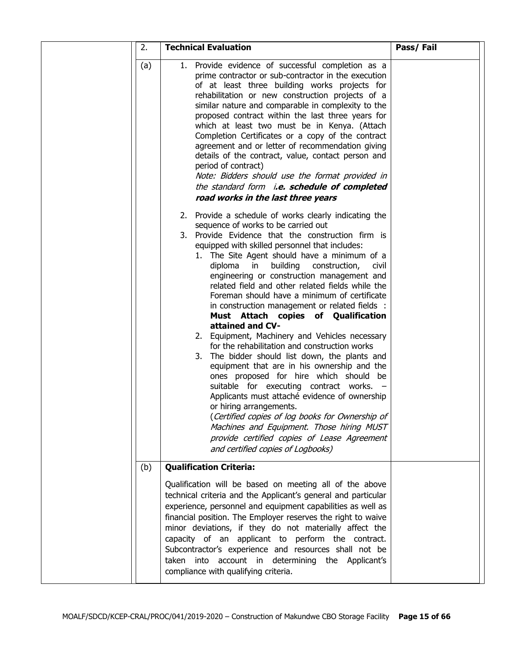| 2.  | <b>Technical Evaluation</b>                                                                                                                                                                                                                                                                                                                                                                                                                                                                                                                                                                                                                                                                                                                                                                                                                                         | Pass/Fail |
|-----|---------------------------------------------------------------------------------------------------------------------------------------------------------------------------------------------------------------------------------------------------------------------------------------------------------------------------------------------------------------------------------------------------------------------------------------------------------------------------------------------------------------------------------------------------------------------------------------------------------------------------------------------------------------------------------------------------------------------------------------------------------------------------------------------------------------------------------------------------------------------|-----------|
| (a) | 1. Provide evidence of successful completion as a<br>prime contractor or sub-contractor in the execution<br>of at least three building works projects for<br>rehabilitation or new construction projects of a<br>similar nature and comparable in complexity to the<br>proposed contract within the last three years for<br>which at least two must be in Kenya. (Attach<br>Completion Certificates or a copy of the contract<br>agreement and or letter of recommendation giving<br>details of the contract, value, contact person and<br>period of contract)<br>Note: Bidders should use the format provided in<br>the standard form i.e. schedule of completed<br>road works in the last three years                                                                                                                                                             |           |
|     | 2. Provide a schedule of works clearly indicating the<br>sequence of works to be carried out<br>3. Provide Evidence that the construction firm is<br>equipped with skilled personnel that includes:<br>1. The Site Agent should have a minimum of a<br>building<br>diploma<br>in<br>construction,<br>civil<br>engineering or construction management and<br>related field and other related fields while the<br>Foreman should have a minimum of certificate<br>in construction management or related fields :<br>Must Attach copies of Qualification<br>attained and CV-<br>2. Equipment, Machinery and Vehicles necessary<br>for the rehabilitation and construction works<br>3. The bidder should list down, the plants and<br>equipment that are in his ownership and the<br>ones proposed for hire which should be<br>suitable for executing contract works. - |           |
|     | Applicants must attaché evidence of ownership<br>or hiring arrangements.<br>(Certified copies of log books for Ownership of<br>Machines and Equipment. Those hiring MUST<br>provide certified copies of Lease Agreement<br>and certified copies of Logbooks)                                                                                                                                                                                                                                                                                                                                                                                                                                                                                                                                                                                                        |           |
| (b) | <b>Qualification Criteria:</b>                                                                                                                                                                                                                                                                                                                                                                                                                                                                                                                                                                                                                                                                                                                                                                                                                                      |           |
|     | Qualification will be based on meeting all of the above<br>technical criteria and the Applicant's general and particular<br>experience, personnel and equipment capabilities as well as<br>financial position. The Employer reserves the right to waive<br>minor deviations, if they do not materially affect the<br>capacity of an applicant to perform the contract.<br>Subcontractor's experience and resources shall not be<br>taken into account in determining the Applicant's<br>compliance with qualifying criteria.                                                                                                                                                                                                                                                                                                                                        |           |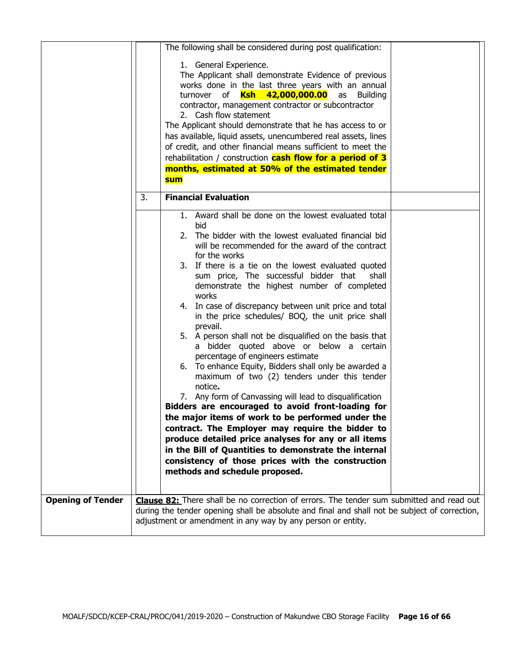|                          |    | The following shall be considered during post qualification:                                                                                                                                                                                                                                                                                                                                                                                                                                                                                                                                                                                                                                                                                                                                                                                                                                                                                                                                                                                                                                                                                                                              |  |
|--------------------------|----|-------------------------------------------------------------------------------------------------------------------------------------------------------------------------------------------------------------------------------------------------------------------------------------------------------------------------------------------------------------------------------------------------------------------------------------------------------------------------------------------------------------------------------------------------------------------------------------------------------------------------------------------------------------------------------------------------------------------------------------------------------------------------------------------------------------------------------------------------------------------------------------------------------------------------------------------------------------------------------------------------------------------------------------------------------------------------------------------------------------------------------------------------------------------------------------------|--|
|                          |    | 1. General Experience.<br>The Applicant shall demonstrate Evidence of previous<br>works done in the last three years with an annual<br>turnover of <i>Ksh 42,000,000.00</i><br>as Building<br>contractor, management contractor or subcontractor<br>2. Cash flow statement<br>The Applicant should demonstrate that he has access to or<br>has available, liquid assets, unencumbered real assets, lines<br>of credit, and other financial means sufficient to meet the<br>rehabilitation / construction <b>cash flow for a period of 3</b><br>months, estimated at 50% of the estimated tender<br><b>sum</b>                                                                                                                                                                                                                                                                                                                                                                                                                                                                                                                                                                             |  |
|                          | 3. | <b>Financial Evaluation</b>                                                                                                                                                                                                                                                                                                                                                                                                                                                                                                                                                                                                                                                                                                                                                                                                                                                                                                                                                                                                                                                                                                                                                               |  |
|                          |    | 1. Award shall be done on the lowest evaluated total<br>bid<br>The bidder with the lowest evaluated financial bid<br>2.<br>will be recommended for the award of the contract<br>for the works<br>3. If there is a tie on the lowest evaluated quoted<br>sum price, The successful bidder that<br>shall<br>demonstrate the highest number of completed<br>works<br>4. In case of discrepancy between unit price and total<br>in the price schedules/ BOQ, the unit price shall<br>prevail.<br>5. A person shall not be disqualified on the basis that<br>a bidder quoted above or below a certain<br>percentage of engineers estimate<br>6. To enhance Equity, Bidders shall only be awarded a<br>maximum of two (2) tenders under this tender<br>notice.<br>7. Any form of Canvassing will lead to disqualification<br>Bidders are encouraged to avoid front-loading for<br>the major items of work to be performed under the<br>contract. The Employer may require the bidder to<br>produce detailed price analyses for any or all items<br>in the Bill of Quantities to demonstrate the internal<br>consistency of those prices with the construction<br>methods and schedule proposed. |  |
| <b>Opening of Tender</b> |    | <b>Clause 82:</b> There shall be no correction of errors. The tender sum submitted and read out<br>during the tender opening shall be absolute and final and shall not be subject of correction,<br>adjustment or amendment in any way by any person or entity.                                                                                                                                                                                                                                                                                                                                                                                                                                                                                                                                                                                                                                                                                                                                                                                                                                                                                                                           |  |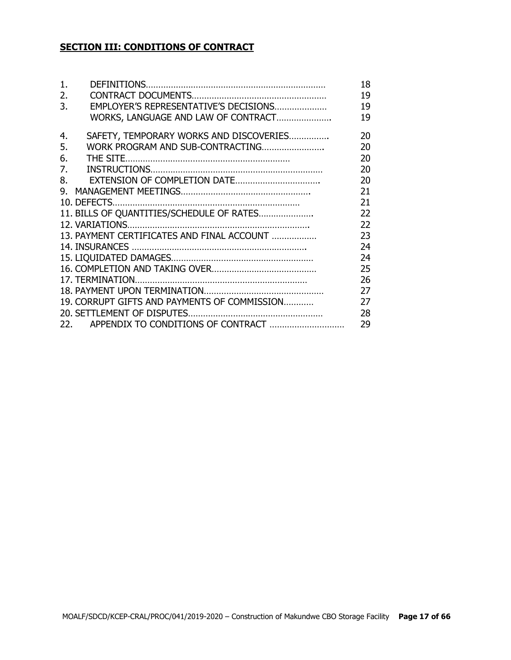# **SECTION III: CONDITIONS OF CONTRACT**

| 1. |                                              | 18 |
|----|----------------------------------------------|----|
| 2. |                                              | 19 |
| 3. | EMPLOYER'S REPRESENTATIVE'S DECISIONS        | 19 |
|    | WORKS, LANGUAGE AND LAW OF CONTRACT          | 19 |
| 4. | SAFETY, TEMPORARY WORKS AND DISCOVERIES      | 20 |
| 5. | WORK PROGRAM AND SUB-CONTRACTING             | 20 |
| 6. |                                              | 20 |
| 7. |                                              | 20 |
| 8. |                                              | 20 |
| 9. |                                              | 21 |
|    |                                              | 21 |
|    | 11. BILLS OF QUANTITIES/SCHEDULE OF RATES    | 22 |
|    |                                              | 22 |
|    | 13. PAYMENT CERTIFICATES AND FINAL ACCOUNT   | 23 |
|    |                                              | 24 |
|    |                                              | 24 |
|    |                                              | 25 |
|    |                                              | 26 |
|    |                                              | 27 |
|    | 19. CORRUPT GIFTS AND PAYMENTS OF COMMISSION | 27 |
|    |                                              | 28 |
|    |                                              | 29 |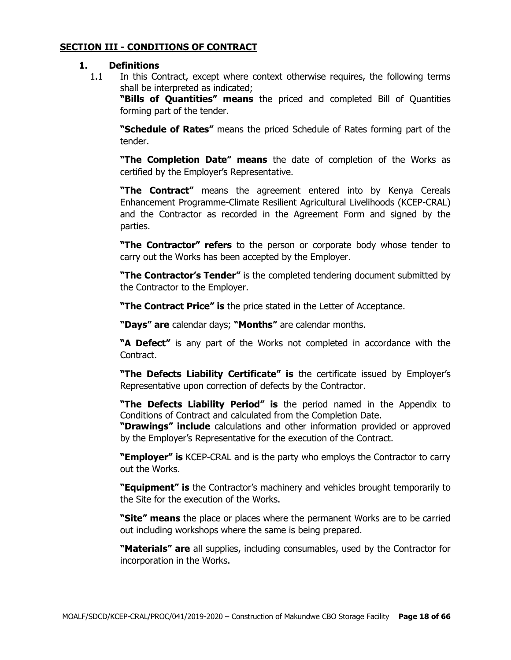#### **SECTION III - CONDITIONS OF CONTRACT**

#### **1. Definitions**

1.1 In this Contract, except where context otherwise requires, the following terms shall be interpreted as indicated;

**"Bills of Quantities" means** the priced and completed Bill of Quantities forming part of the tender.

**"Schedule of Rates"** means the priced Schedule of Rates forming part of the tender.

**"The Completion Date" means** the date of completion of the Works as certified by the Employer's Representative.

**"The Contract"** means the agreement entered into by Kenya Cereals Enhancement Programme-Climate Resilient Agricultural Livelihoods (KCEP-CRAL) and the Contractor as recorded in the Agreement Form and signed by the parties.

**"The Contractor" refers** to the person or corporate body whose tender to carry out the Works has been accepted by the Employer.

**"The Contractor's Tender"** is the completed tendering document submitted by the Contractor to the Employer.

**"The Contract Price" is** the price stated in the Letter of Acceptance.

**"Days" are** calendar days; **"Months"** are calendar months.

**"A Defect"** is any part of the Works not completed in accordance with the Contract.

**"The Defects Liability Certificate" is** the certificate issued by Employer's Representative upon correction of defects by the Contractor.

**"The Defects Liability Period" is** the period named in the Appendix to Conditions of Contract and calculated from the Completion Date.

**"Drawings" include** calculations and other information provided or approved by the Employer's Representative for the execution of the Contract.

**"Employer" is** KCEP-CRAL and is the party who employs the Contractor to carry out the Works.

**"Equipment" is** the Contractor's machinery and vehicles brought temporarily to the Site for the execution of the Works.

**"Site" means** the place or places where the permanent Works are to be carried out including workshops where the same is being prepared.

**"Materials" are** all supplies, including consumables, used by the Contractor for incorporation in the Works.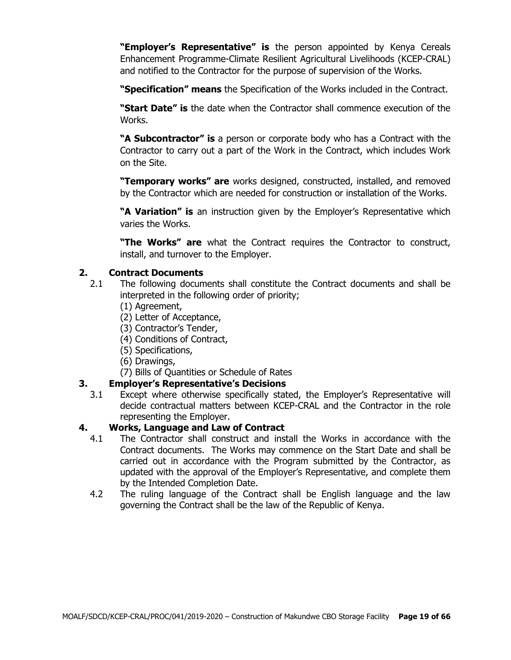**"Employer's Representative" is** the person appointed by Kenya Cereals Enhancement Programme-Climate Resilient Agricultural Livelihoods (KCEP-CRAL) and notified to the Contractor for the purpose of supervision of the Works.

**"Specification" means** the Specification of the Works included in the Contract.

**"Start Date" is** the date when the Contractor shall commence execution of the Works.

**"A Subcontractor" is** a person or corporate body who has a Contract with the Contractor to carry out a part of the Work in the Contract, which includes Work on the Site.

**"Temporary works" are** works designed, constructed, installed, and removed by the Contractor which are needed for construction or installation of the Works.

**"A Variation" is** an instruction given by the Employer's Representative which varies the Works.

**"The Works" are** what the Contract requires the Contractor to construct, install, and turnover to the Employer.

# **2. Contract Documents**

- 2.1 The following documents shall constitute the Contract documents and shall be interpreted in the following order of priority;
	- (1) Agreement,
	- (2) Letter of Acceptance,
	- (3) Contractor's Tender,
	- (4) Conditions of Contract,
	- (5) Specifications,
	- (6) Drawings,
	- (7) Bills of Quantities or Schedule of Rates

# **3. Employer's Representative's Decisions**

3.1 Except where otherwise specifically stated, the Employer's Representative will decide contractual matters between KCEP-CRAL and the Contractor in the role representing the Employer.

# **4. Works, Language and Law of Contract**

- 4.1 The Contractor shall construct and install the Works in accordance with the Contract documents. The Works may commence on the Start Date and shall be carried out in accordance with the Program submitted by the Contractor, as updated with the approval of the Employer's Representative, and complete them by the Intended Completion Date.
- 4.2 The ruling language of the Contract shall be English language and the law governing the Contract shall be the law of the Republic of Kenya.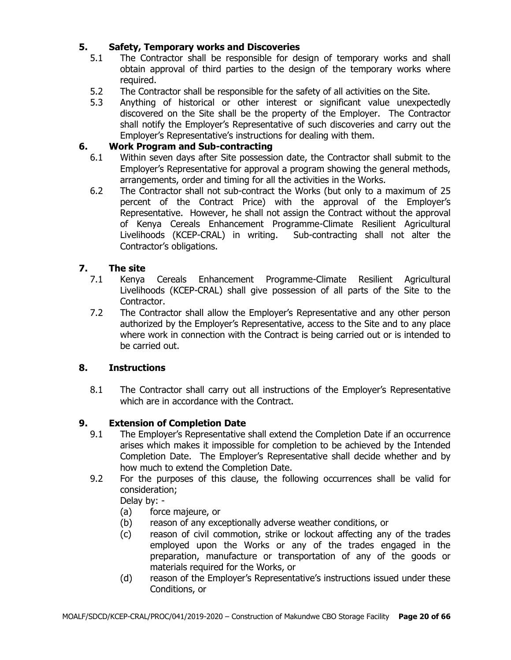# **5. Safety, Temporary works and Discoveries**

- 5.1 The Contractor shall be responsible for design of temporary works and shall obtain approval of third parties to the design of the temporary works where required.
- 5.2 The Contractor shall be responsible for the safety of all activities on the Site.
- 5.3 Anything of historical or other interest or significant value unexpectedly discovered on the Site shall be the property of the Employer. The Contractor shall notify the Employer's Representative of such discoveries and carry out the Employer's Representative's instructions for dealing with them.

# **6. Work Program and Sub-contracting**

- 6.1 Within seven days after Site possession date, the Contractor shall submit to the Employer's Representative for approval a program showing the general methods, arrangements, order and timing for all the activities in the Works.
- 6.2 The Contractor shall not sub-contract the Works (but only to a maximum of 25 percent of the Contract Price) with the approval of the Employer's Representative. However, he shall not assign the Contract without the approval of Kenya Cereals Enhancement Programme-Climate Resilient Agricultural Livelihoods (KCEP-CRAL) in writing. Sub-contracting shall not alter the Contractor's obligations.

# **7. The site**

- 7.1 Kenya Cereals Enhancement Programme-Climate Resilient Agricultural Livelihoods (KCEP-CRAL) shall give possession of all parts of the Site to the Contractor.
- 7.2 The Contractor shall allow the Employer's Representative and any other person authorized by the Employer's Representative, access to the Site and to any place where work in connection with the Contract is being carried out or is intended to be carried out.

# **8. Instructions**

8.1 The Contractor shall carry out all instructions of the Employer's Representative which are in accordance with the Contract.

# **9. Extension of Completion Date**

- 9.1 The Employer's Representative shall extend the Completion Date if an occurrence arises which makes it impossible for completion to be achieved by the Intended Completion Date. The Employer's Representative shall decide whether and by how much to extend the Completion Date.
- 9.2 For the purposes of this clause, the following occurrences shall be valid for consideration;

Delay by: -

- (a) force majeure, or
- (b) reason of any exceptionally adverse weather conditions, or
- (c) reason of civil commotion, strike or lockout affecting any of the trades employed upon the Works or any of the trades engaged in the preparation, manufacture or transportation of any of the goods or materials required for the Works, or
- (d) reason of the Employer's Representative's instructions issued under these Conditions, or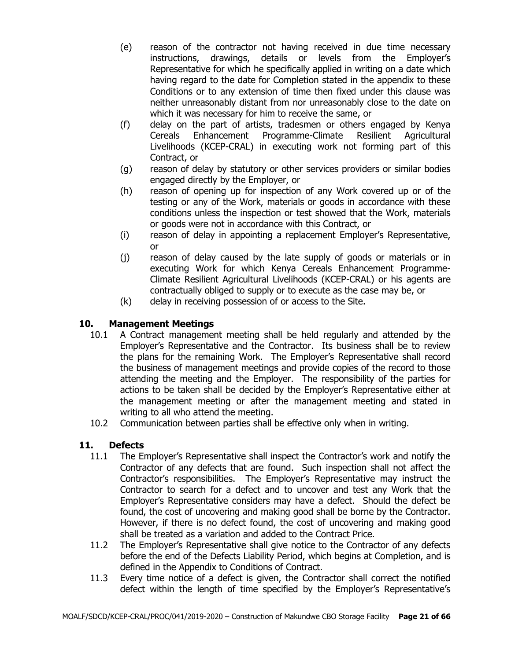- (e) reason of the contractor not having received in due time necessary instructions, drawings, details or levels from the Employer's Representative for which he specifically applied in writing on a date which having regard to the date for Completion stated in the appendix to these Conditions or to any extension of time then fixed under this clause was neither unreasonably distant from nor unreasonably close to the date on which it was necessary for him to receive the same, or
- (f) delay on the part of artists, tradesmen or others engaged by Kenya Cereals Enhancement Programme-Climate Resilient Agricultural Livelihoods (KCEP-CRAL) in executing work not forming part of this Contract, or
- (g) reason of delay by statutory or other services providers or similar bodies engaged directly by the Employer, or
- (h) reason of opening up for inspection of any Work covered up or of the testing or any of the Work, materials or goods in accordance with these conditions unless the inspection or test showed that the Work, materials or goods were not in accordance with this Contract, or
- (i) reason of delay in appointing a replacement Employer's Representative, or
- (j) reason of delay caused by the late supply of goods or materials or in executing Work for which Kenya Cereals Enhancement Programme-Climate Resilient Agricultural Livelihoods (KCEP-CRAL) or his agents are contractually obliged to supply or to execute as the case may be, or
- (k) delay in receiving possession of or access to the Site.

# **10. Management Meetings**

- 10.1 A Contract management meeting shall be held regularly and attended by the Employer's Representative and the Contractor. Its business shall be to review the plans for the remaining Work. The Employer's Representative shall record the business of management meetings and provide copies of the record to those attending the meeting and the Employer. The responsibility of the parties for actions to be taken shall be decided by the Employer's Representative either at the management meeting or after the management meeting and stated in writing to all who attend the meeting.
- 10.2 Communication between parties shall be effective only when in writing.

# **11. Defects**

- 11.1 The Employer's Representative shall inspect the Contractor's work and notify the Contractor of any defects that are found. Such inspection shall not affect the Contractor's responsibilities. The Employer's Representative may instruct the Contractor to search for a defect and to uncover and test any Work that the Employer's Representative considers may have a defect. Should the defect be found, the cost of uncovering and making good shall be borne by the Contractor. However, if there is no defect found, the cost of uncovering and making good shall be treated as a variation and added to the Contract Price.
- 11.2 The Employer's Representative shall give notice to the Contractor of any defects before the end of the Defects Liability Period, which begins at Completion, and is defined in the Appendix to Conditions of Contract.
- 11.3 Every time notice of a defect is given, the Contractor shall correct the notified defect within the length of time specified by the Employer's Representative's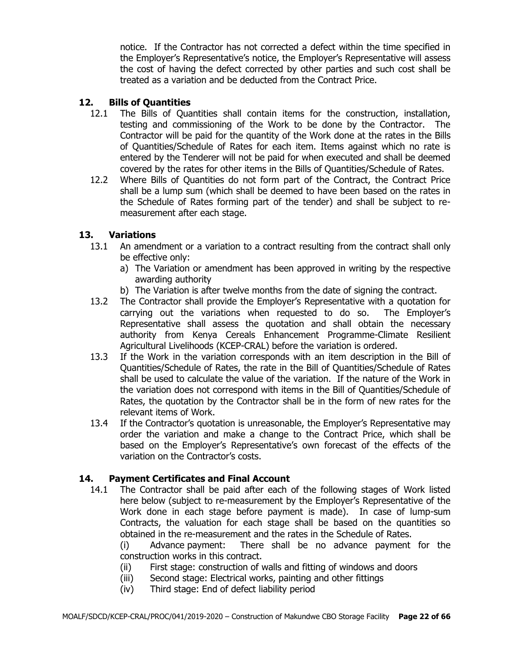notice. If the Contractor has not corrected a defect within the time specified in the Employer's Representative's notice, the Employer's Representative will assess the cost of having the defect corrected by other parties and such cost shall be treated as a variation and be deducted from the Contract Price.

# **12. Bills of Quantities**

- 12.1 The Bills of Quantities shall contain items for the construction, installation, testing and commissioning of the Work to be done by the Contractor. The Contractor will be paid for the quantity of the Work done at the rates in the Bills of Quantities/Schedule of Rates for each item. Items against which no rate is entered by the Tenderer will not be paid for when executed and shall be deemed covered by the rates for other items in the Bills of Quantities/Schedule of Rates.
- 12.2 Where Bills of Quantities do not form part of the Contract, the Contract Price shall be a lump sum (which shall be deemed to have been based on the rates in the Schedule of Rates forming part of the tender) and shall be subject to remeasurement after each stage.

#### **13. Variations**

- 13.1 An amendment or a variation to a contract resulting from the contract shall only be effective only:
	- a) The Variation or amendment has been approved in writing by the respective awarding authority
	- b) The Variation is after twelve months from the date of signing the contract.
- 13.2 The Contractor shall provide the Employer's Representative with a quotation for carrying out the variations when requested to do so. The Employer's Representative shall assess the quotation and shall obtain the necessary authority from Kenya Cereals Enhancement Programme-Climate Resilient Agricultural Livelihoods (KCEP-CRAL) before the variation is ordered.
- 13.3 If the Work in the variation corresponds with an item description in the Bill of Quantities/Schedule of Rates, the rate in the Bill of Quantities/Schedule of Rates shall be used to calculate the value of the variation. If the nature of the Work in the variation does not correspond with items in the Bill of Quantities/Schedule of Rates, the quotation by the Contractor shall be in the form of new rates for the relevant items of Work.
- 13.4 If the Contractor's quotation is unreasonable, the Employer's Representative may order the variation and make a change to the Contract Price, which shall be based on the Employer's Representative's own forecast of the effects of the variation on the Contractor's costs.

#### **14. Payment Certificates and Final Account**

14.1 The Contractor shall be paid after each of the following stages of Work listed here below (subject to re-measurement by the Employer's Representative of the Work done in each stage before payment is made). In case of lump-sum Contracts, the valuation for each stage shall be based on the quantities so obtained in the re-measurement and the rates in the Schedule of Rates.

(i) Advance payment: There shall be no advance payment for the construction works in this contract.

- (ii) First stage: construction of walls and fitting of windows and doors
- (iii) Second stage: Electrical works, painting and other fittings
- (iv) Third stage: End of defect liability period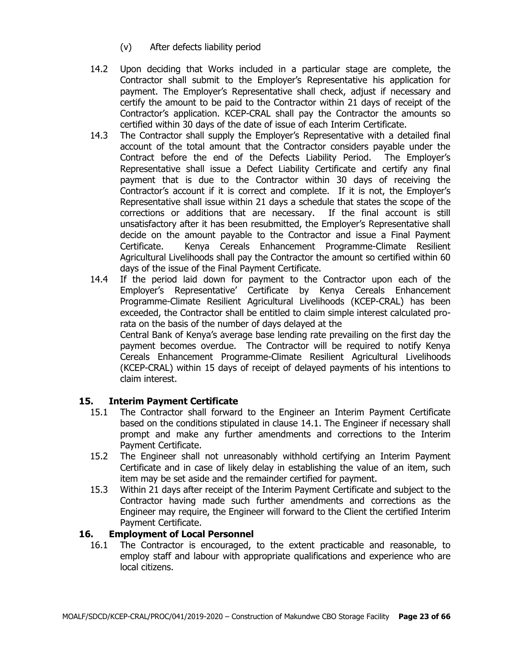- (v) After defects liability period
- 14.2 Upon deciding that Works included in a particular stage are complete, the Contractor shall submit to the Employer's Representative his application for payment. The Employer's Representative shall check, adjust if necessary and certify the amount to be paid to the Contractor within 21 days of receipt of the Contractor's application. KCEP-CRAL shall pay the Contractor the amounts so certified within 30 days of the date of issue of each Interim Certificate.
- 14.3 The Contractor shall supply the Employer's Representative with a detailed final account of the total amount that the Contractor considers payable under the Contract before the end of the Defects Liability Period. The Employer's Representative shall issue a Defect Liability Certificate and certify any final payment that is due to the Contractor within 30 days of receiving the Contractor's account if it is correct and complete. If it is not, the Employer's Representative shall issue within 21 days a schedule that states the scope of the corrections or additions that are necessary. If the final account is still unsatisfactory after it has been resubmitted, the Employer's Representative shall decide on the amount payable to the Contractor and issue a Final Payment Certificate. Kenya Cereals Enhancement Programme-Climate Resilient Agricultural Livelihoods shall pay the Contractor the amount so certified within 60 days of the issue of the Final Payment Certificate.
- 14.4 If the period laid down for payment to the Contractor upon each of the Employer's Representative' Certificate by Kenya Cereals Enhancement Programme-Climate Resilient Agricultural Livelihoods (KCEP-CRAL) has been exceeded, the Contractor shall be entitled to claim simple interest calculated prorata on the basis of the number of days delayed at the Central Bank of Kenya's average base lending rate prevailing on the first day the payment becomes overdue. The Contractor will be required to notify Kenya Cereals Enhancement Programme-Climate Resilient Agricultural Livelihoods (KCEP-CRAL) within 15 days of receipt of delayed payments of his intentions to claim interest.

# **15. Interim Payment Certificate**

- 15.1 The Contractor shall forward to the Engineer an Interim Payment Certificate based on the conditions stipulated in clause 14.1. The Engineer if necessary shall prompt and make any further amendments and corrections to the Interim Payment Certificate.
- 15.2 The Engineer shall not unreasonably withhold certifying an Interim Payment Certificate and in case of likely delay in establishing the value of an item, such item may be set aside and the remainder certified for payment.
- 15.3 Within 21 days after receipt of the Interim Payment Certificate and subject to the Contractor having made such further amendments and corrections as the Engineer may require, the Engineer will forward to the Client the certified Interim Payment Certificate.

# **16. Employment of Local Personnel**

16.1 The Contractor is encouraged, to the extent practicable and reasonable, to employ staff and labour with appropriate qualifications and experience who are local citizens.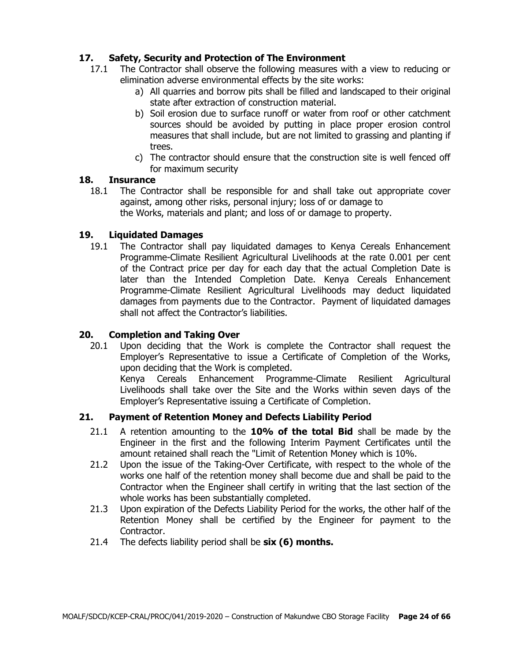# **17. Safety, Security and Protection of The Environment**

- 17.1 The Contractor shall observe the following measures with a view to reducing or elimination adverse environmental effects by the site works:
	- a) All quarries and borrow pits shall be filled and landscaped to their original state after extraction of construction material.
	- b) Soil erosion due to surface runoff or water from roof or other catchment sources should be avoided by putting in place proper erosion control measures that shall include, but are not limited to grassing and planting if trees.
	- c) The contractor should ensure that the construction site is well fenced off for maximum security

## **18. Insurance**

18.1 The Contractor shall be responsible for and shall take out appropriate cover against, among other risks, personal injury; loss of or damage to the Works, materials and plant; and loss of or damage to property.

# **19. Liquidated Damages**

19.1 The Contractor shall pay liquidated damages to Kenya Cereals Enhancement Programme-Climate Resilient Agricultural Livelihoods at the rate 0.001 per cent of the Contract price per day for each day that the actual Completion Date is later than the Intended Completion Date. Kenya Cereals Enhancement Programme-Climate Resilient Agricultural Livelihoods may deduct liquidated damages from payments due to the Contractor. Payment of liquidated damages shall not affect the Contractor's liabilities.

# **20. Completion and Taking Over**

20.1 Upon deciding that the Work is complete the Contractor shall request the Employer's Representative to issue a Certificate of Completion of the Works, upon deciding that the Work is completed.

Kenya Cereals Enhancement Programme-Climate Resilient Agricultural Livelihoods shall take over the Site and the Works within seven days of the Employer's Representative issuing a Certificate of Completion.

# **21. Payment of Retention Money and Defects Liability Period**

- 21.1 A retention amounting to the **10% of the total Bid** shall be made by the Engineer in the first and the following Interim Payment Certificates until the amount retained shall reach the "Limit of Retention Money which is 10%.
- 21.2 Upon the issue of the Taking-Over Certificate, with respect to the whole of the works one half of the retention money shall become due and shall be paid to the Contractor when the Engineer shall certify in writing that the last section of the whole works has been substantially completed.
- 21.3 Upon expiration of the Defects Liability Period for the works, the other half of the Retention Money shall be certified by the Engineer for payment to the Contractor.
- 21.4 The defects liability period shall be **six (6) months.**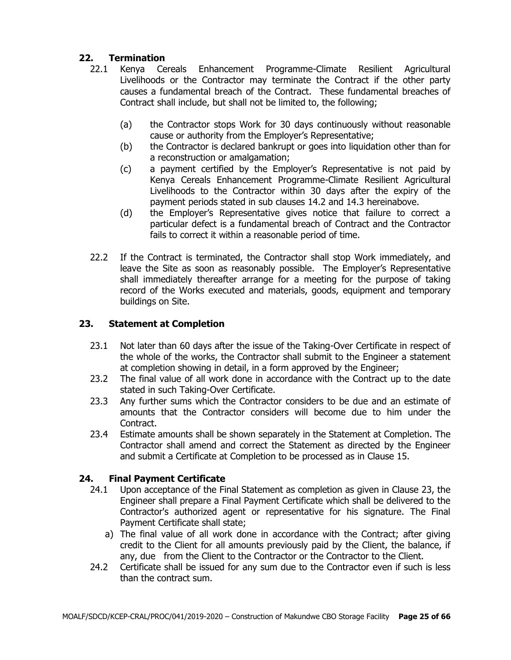# **22. Termination**

- 22.1 Kenya Cereals Enhancement Programme-Climate Resilient Agricultural Livelihoods or the Contractor may terminate the Contract if the other party causes a fundamental breach of the Contract. These fundamental breaches of Contract shall include, but shall not be limited to, the following;
	- (a) the Contractor stops Work for 30 days continuously without reasonable cause or authority from the Employer's Representative;
	- (b) the Contractor is declared bankrupt or goes into liquidation other than for a reconstruction or amalgamation;
	- (c) a payment certified by the Employer's Representative is not paid by Kenya Cereals Enhancement Programme-Climate Resilient Agricultural Livelihoods to the Contractor within 30 days after the expiry of the payment periods stated in sub clauses 14.2 and 14.3 hereinabove.
	- (d) the Employer's Representative gives notice that failure to correct a particular defect is a fundamental breach of Contract and the Contractor fails to correct it within a reasonable period of time.
- 22.2 If the Contract is terminated, the Contractor shall stop Work immediately, and leave the Site as soon as reasonably possible. The Employer's Representative shall immediately thereafter arrange for a meeting for the purpose of taking record of the Works executed and materials, goods, equipment and temporary buildings on Site.

# **23. Statement at Completion**

- 23.1 Not later than 60 days after the issue of the Taking-Over Certificate in respect of the whole of the works, the Contractor shall submit to the Engineer a statement at completion showing in detail, in a form approved by the Engineer;
- 23.2 The final value of all work done in accordance with the Contract up to the date stated in such Taking-Over Certificate.
- 23.3 Any further sums which the Contractor considers to be due and an estimate of amounts that the Contractor considers will become due to him under the Contract.
- 23.4 Estimate amounts shall be shown separately in the Statement at Completion. The Contractor shall amend and correct the Statement as directed by the Engineer and submit a Certificate at Completion to be processed as in Clause 15.

# **24. Final Payment Certificate**

- 24.1 Upon acceptance of the Final Statement as completion as given in Clause 23, the Engineer shall prepare a Final Payment Certificate which shall be delivered to the Contractor's authorized agent or representative for his signature. The Final Payment Certificate shall state;
	- a) The final value of all work done in accordance with the Contract; after giving credit to the Client for all amounts previously paid by the Client, the balance, if any, due from the Client to the Contractor or the Contractor to the Client.
- 24.2 Certificate shall be issued for any sum due to the Contractor even if such is less than the contract sum.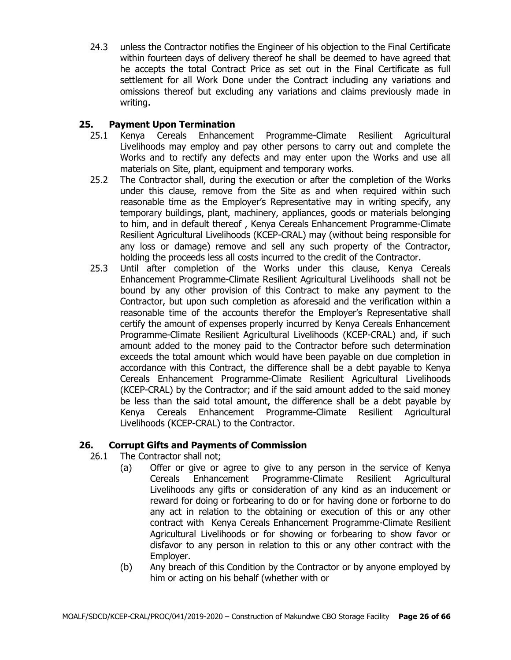24.3 unless the Contractor notifies the Engineer of his objection to the Final Certificate within fourteen days of delivery thereof he shall be deemed to have agreed that he accepts the total Contract Price as set out in the Final Certificate as full settlement for all Work Done under the Contract including any variations and omissions thereof but excluding any variations and claims previously made in writing.

# **25. Payment Upon Termination**

- 25.1 Kenya Cereals Enhancement Programme-Climate Resilient Agricultural Livelihoods may employ and pay other persons to carry out and complete the Works and to rectify any defects and may enter upon the Works and use all materials on Site, plant, equipment and temporary works.
- 25.2 The Contractor shall, during the execution or after the completion of the Works under this clause, remove from the Site as and when required within such reasonable time as the Employer's Representative may in writing specify, any temporary buildings, plant, machinery, appliances, goods or materials belonging to him, and in default thereof , Kenya Cereals Enhancement Programme-Climate Resilient Agricultural Livelihoods (KCEP-CRAL) may (without being responsible for any loss or damage) remove and sell any such property of the Contractor, holding the proceeds less all costs incurred to the credit of the Contractor.
- 25.3 Until after completion of the Works under this clause, Kenya Cereals Enhancement Programme-Climate Resilient Agricultural Livelihoods shall not be bound by any other provision of this Contract to make any payment to the Contractor, but upon such completion as aforesaid and the verification within a reasonable time of the accounts therefor the Employer's Representative shall certify the amount of expenses properly incurred by Kenya Cereals Enhancement Programme-Climate Resilient Agricultural Livelihoods (KCEP-CRAL) and, if such amount added to the money paid to the Contractor before such determination exceeds the total amount which would have been payable on due completion in accordance with this Contract, the difference shall be a debt payable to Kenya Cereals Enhancement Programme-Climate Resilient Agricultural Livelihoods (KCEP-CRAL) by the Contractor; and if the said amount added to the said money be less than the said total amount, the difference shall be a debt payable by Kenya Cereals Enhancement Programme-Climate Resilient Agricultural Livelihoods (KCEP-CRAL) to the Contractor.

# **26. Corrupt Gifts and Payments of Commission**

- 26.1 The Contractor shall not;
	- (a) Offer or give or agree to give to any person in the service of Kenya Cereals Enhancement Programme-Climate Resilient Agricultural Livelihoods any gifts or consideration of any kind as an inducement or reward for doing or forbearing to do or for having done or forborne to do any act in relation to the obtaining or execution of this or any other contract with Kenya Cereals Enhancement Programme-Climate Resilient Agricultural Livelihoods or for showing or forbearing to show favor or disfavor to any person in relation to this or any other contract with the Employer.
	- (b) Any breach of this Condition by the Contractor or by anyone employed by him or acting on his behalf (whether with or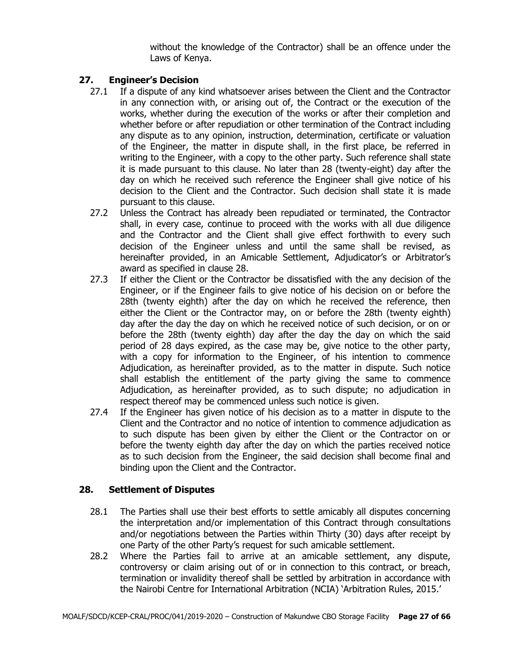without the knowledge of the Contractor) shall be an offence under the Laws of Kenya.

# **27. Engineer's Decision**

- 27.1 If a dispute of any kind whatsoever arises between the Client and the Contractor in any connection with, or arising out of, the Contract or the execution of the works, whether during the execution of the works or after their completion and whether before or after repudiation or other termination of the Contract including any dispute as to any opinion, instruction, determination, certificate or valuation of the Engineer, the matter in dispute shall, in the first place, be referred in writing to the Engineer, with a copy to the other party. Such reference shall state it is made pursuant to this clause. No later than 28 (twenty-eight) day after the day on which he received such reference the Engineer shall give notice of his decision to the Client and the Contractor. Such decision shall state it is made pursuant to this clause.
- 27.2 Unless the Contract has already been repudiated or terminated, the Contractor shall, in every case, continue to proceed with the works with all due diligence and the Contractor and the Client shall give effect forthwith to every such decision of the Engineer unless and until the same shall be revised, as hereinafter provided, in an Amicable Settlement, Adjudicator's or Arbitrator's award as specified in clause 28.
- 27.3 If either the Client or the Contractor be dissatisfied with the any decision of the Engineer, or if the Engineer fails to give notice of his decision on or before the 28th (twenty eighth) after the day on which he received the reference, then either the Client or the Contractor may, on or before the 28th (twenty eighth) day after the day the day on which he received notice of such decision, or on or before the 28th (twenty eighth) day after the day the day on which the said period of 28 days expired, as the case may be, give notice to the other party, with a copy for information to the Engineer, of his intention to commence Adjudication, as hereinafter provided, as to the matter in dispute. Such notice shall establish the entitlement of the party giving the same to commence Adjudication, as hereinafter provided, as to such dispute; no adjudication in respect thereof may be commenced unless such notice is given.
- 27.4 If the Engineer has given notice of his decision as to a matter in dispute to the Client and the Contractor and no notice of intention to commence adjudication as to such dispute has been given by either the Client or the Contractor on or before the twenty eighth day after the day on which the parties received notice as to such decision from the Engineer, the said decision shall become final and binding upon the Client and the Contractor.

# **28. Settlement of Disputes**

- 28.1 The Parties shall use their best efforts to settle amicably all disputes concerning the interpretation and/or implementation of this Contract through consultations and/or negotiations between the Parties within Thirty (30) days after receipt by one Party of the other Party's request for such amicable settlement.
- 28.2 Where the Parties fail to arrive at an amicable settlement, any dispute, controversy or claim arising out of or in connection to this contract, or breach, termination or invalidity thereof shall be settled by arbitration in accordance with the Nairobi Centre for International Arbitration (NCIA) 'Arbitration Rules, 2015.'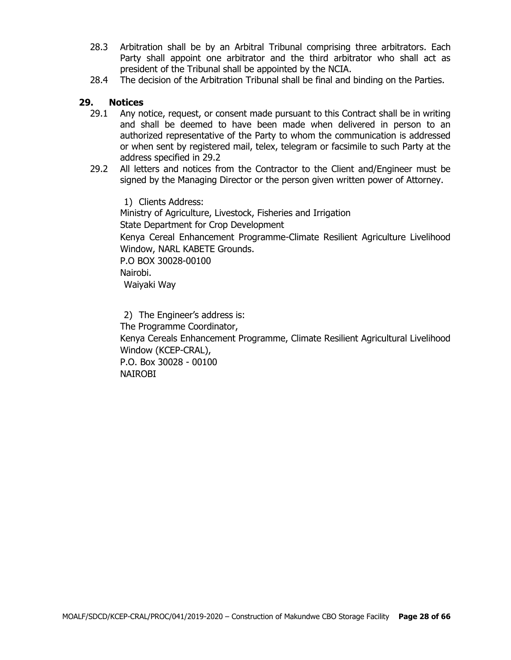- 28.3 Arbitration shall be by an Arbitral Tribunal comprising three arbitrators. Each Party shall appoint one arbitrator and the third arbitrator who shall act as president of the Tribunal shall be appointed by the NCIA.
- 28.4 The decision of the Arbitration Tribunal shall be final and binding on the Parties.

#### **29. Notices**

- 29.1 Any notice, request, or consent made pursuant to this Contract shall be in writing and shall be deemed to have been made when delivered in person to an authorized representative of the Party to whom the communication is addressed or when sent by registered mail, telex, telegram or facsimile to such Party at the address specified in 29.2
- 29.2 All letters and notices from the Contractor to the Client and/Engineer must be signed by the Managing Director or the person given written power of Attorney.

1) Clients Address: Ministry of Agriculture, Livestock, Fisheries and Irrigation State Department for Crop Development Kenya Cereal Enhancement Programme-Climate Resilient Agriculture Livelihood Window, NARL KABETE Grounds. P.O BOX 30028-00100 Nairobi. Waiyaki Way

2) The Engineer's address is: The Programme Coordinator, Kenya Cereals Enhancement Programme, Climate Resilient Agricultural Livelihood Window (KCEP-CRAL), P.O. Box 30028 - 00100 NAIROBI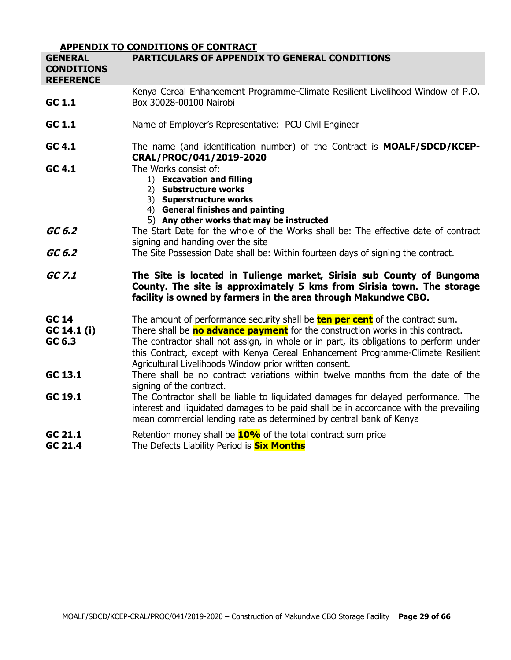|                                                         | <b>APPENDIX TO CONDITIONS OF CONTRACT</b>                                                                                                                                                                                                                                                                                                                                                                            |
|---------------------------------------------------------|----------------------------------------------------------------------------------------------------------------------------------------------------------------------------------------------------------------------------------------------------------------------------------------------------------------------------------------------------------------------------------------------------------------------|
| <b>GENERAL</b><br><b>CONDITIONS</b><br><b>REFERENCE</b> | <b>PARTICULARS OF APPENDIX TO GENERAL CONDITIONS</b>                                                                                                                                                                                                                                                                                                                                                                 |
| GC 1.1                                                  | Kenya Cereal Enhancement Programme-Climate Resilient Livelihood Window of P.O.<br>Box 30028-00100 Nairobi                                                                                                                                                                                                                                                                                                            |
| GC 1.1                                                  | Name of Employer's Representative: PCU Civil Engineer                                                                                                                                                                                                                                                                                                                                                                |
| GC 4.1                                                  | The name (and identification number) of the Contract is <b>MOALF/SDCD/KCEP-</b><br>CRAL/PROC/041/2019-2020                                                                                                                                                                                                                                                                                                           |
| GC 4.1                                                  | The Works consist of:<br>1) Excavation and filling<br>2) Substructure works<br>3) Superstructure works<br>4) General finishes and painting<br>5) Any other works that may be instructed                                                                                                                                                                                                                              |
| GC 6.2                                                  | The Start Date for the whole of the Works shall be: The effective date of contract<br>signing and handing over the site                                                                                                                                                                                                                                                                                              |
| GC 6.2                                                  | The Site Possession Date shall be: Within fourteen days of signing the contract.                                                                                                                                                                                                                                                                                                                                     |
| GC 7.1                                                  | The Site is located in Tulienge market, Sirisia sub County of Bungoma<br>County. The site is approximately 5 kms from Sirisia town. The storage<br>facility is owned by farmers in the area through Makundwe CBO.                                                                                                                                                                                                    |
| <b>GC 14</b><br>GC 14.1 (i)<br>GC 6.3                   | The amount of performance security shall be <b>ten per cent</b> of the contract sum.<br>There shall be <b>no advance payment</b> for the construction works in this contract.<br>The contractor shall not assign, in whole or in part, its obligations to perform under<br>this Contract, except with Kenya Cereal Enhancement Programme-Climate Resilient<br>Agricultural Livelihoods Window prior written consent. |
| GC 13.1                                                 | There shall be no contract variations within twelve months from the date of the<br>signing of the contract.                                                                                                                                                                                                                                                                                                          |
| GC 19.1                                                 | The Contractor shall be liable to liquidated damages for delayed performance. The<br>interest and liquidated damages to be paid shall be in accordance with the prevailing<br>mean commercial lending rate as determined by central bank of Kenya                                                                                                                                                                    |
| GC 21.1<br>GC 21.4                                      | Retention money shall be <b>10%</b> of the total contract sum price<br>The Defects Liability Period is <b>Six Months</b>                                                                                                                                                                                                                                                                                             |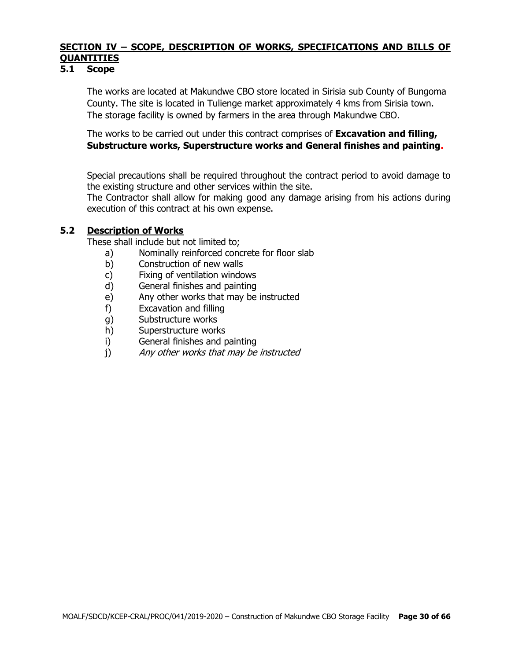# **SECTION IV – SCOPE, DESCRIPTION OF WORKS, SPECIFICATIONS AND BILLS OF QUANTITIES**

#### **5.1 Scope**

The works are located at Makundwe CBO store located in Sirisia sub County of Bungoma County. The site is located in Tulienge market approximately 4 kms from Sirisia town. The storage facility is owned by farmers in the area through Makundwe CBO.

The works to be carried out under this contract comprises of **Excavation and filling, Substructure works, Superstructure works and General finishes and painting.**

Special precautions shall be required throughout the contract period to avoid damage to the existing structure and other services within the site.

The Contractor shall allow for making good any damage arising from his actions during execution of this contract at his own expense.

#### **5.2 Description of Works**

These shall include but not limited to;

- a) Nominally reinforced concrete for floor slab
- b) Construction of new walls
- c) Fixing of ventilation windows
- d) General finishes and painting
- e) Any other works that may be instructed
- f) Excavation and filling
- g) Substructure works
- h) Superstructure works
- i) General finishes and painting
- j) Any other works that may be instructed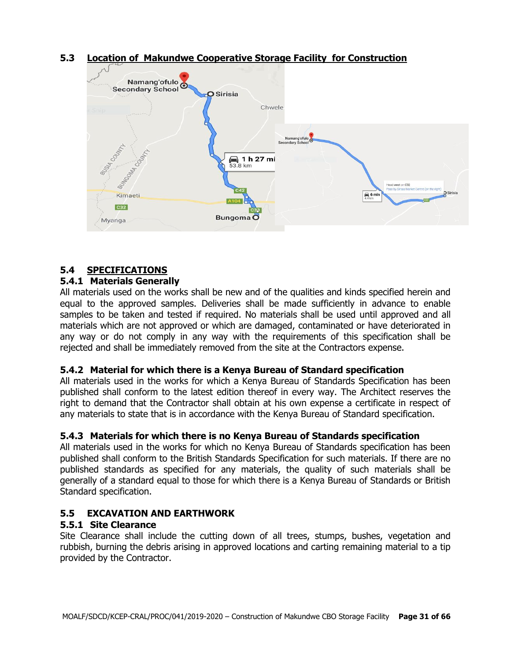



# **5.4 SPECIFICATIONS**

#### **5.4.1 Materials Generally**

All materials used on the works shall be new and of the qualities and kinds specified herein and equal to the approved samples. Deliveries shall be made sufficiently in advance to enable samples to be taken and tested if required. No materials shall be used until approved and all materials which are not approved or which are damaged, contaminated or have deteriorated in any way or do not comply in any way with the requirements of this specification shall be rejected and shall be immediately removed from the site at the Contractors expense.

# **5.4.2 Material for which there is a Kenya Bureau of Standard specification**

All materials used in the works for which a Kenya Bureau of Standards Specification has been published shall conform to the latest edition thereof in every way. The Architect reserves the right to demand that the Contractor shall obtain at his own expense a certificate in respect of any materials to state that is in accordance with the Kenya Bureau of Standard specification.

# **5.4.3 Materials for which there is no Kenya Bureau of Standards specification**

All materials used in the works for which no Kenya Bureau of Standards specification has been published shall conform to the British Standards Specification for such materials. If there are no published standards as specified for any materials, the quality of such materials shall be generally of a standard equal to those for which there is a Kenya Bureau of Standards or British Standard specification.

# **5.5 EXCAVATION AND EARTHWORK**

#### **5.5.1 Site Clearance**

Site Clearance shall include the cutting down of all trees, stumps, bushes, vegetation and rubbish, burning the debris arising in approved locations and carting remaining material to a tip provided by the Contractor.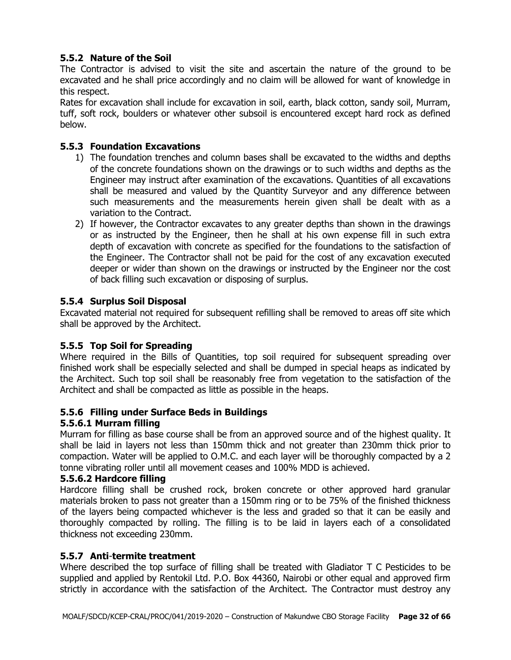# **5.5.2 Nature of the Soil**

The Contractor is advised to visit the site and ascertain the nature of the ground to be excavated and he shall price accordingly and no claim will be allowed for want of knowledge in this respect.

Rates for excavation shall include for excavation in soil, earth, black cotton, sandy soil, Murram, tuff, soft rock, boulders or whatever other subsoil is encountered except hard rock as defined below.

# **5.5.3 Foundation Excavations**

- 1) The foundation trenches and column bases shall be excavated to the widths and depths of the concrete foundations shown on the drawings or to such widths and depths as the Engineer may instruct after examination of the excavations. Quantities of all excavations shall be measured and valued by the Quantity Surveyor and any difference between such measurements and the measurements herein given shall be dealt with as a variation to the Contract.
- 2) If however, the Contractor excavates to any greater depths than shown in the drawings or as instructed by the Engineer, then he shall at his own expense fill in such extra depth of excavation with concrete as specified for the foundations to the satisfaction of the Engineer. The Contractor shall not be paid for the cost of any excavation executed deeper or wider than shown on the drawings or instructed by the Engineer nor the cost of back filling such excavation or disposing of surplus.

#### **5.5.4 Surplus Soil Disposal**

Excavated material not required for subsequent refilling shall be removed to areas off site which shall be approved by the Architect.

# **5.5.5 Top Soil for Spreading**

Where required in the Bills of Quantities, top soil required for subsequent spreading over finished work shall be especially selected and shall be dumped in special heaps as indicated by the Architect. Such top soil shall be reasonably free from vegetation to the satisfaction of the Architect and shall be compacted as little as possible in the heaps.

# **5.5.6 Filling under Surface Beds in Buildings**

#### **5.5.6.1 Murram filling**

Murram for filling as base course shall be from an approved source and of the highest quality. It shall be laid in layers not less than 150mm thick and not greater than 230mm thick prior to compaction. Water will be applied to O.M.C. and each layer will be thoroughly compacted by a 2 tonne vibrating roller until all movement ceases and 100% MDD is achieved.

#### **5.5.6.2 Hardcore filling**

Hardcore filling shall be crushed rock, broken concrete or other approved hard granular materials broken to pass not greater than a 150mm ring or to be 75% of the finished thickness of the layers being compacted whichever is the less and graded so that it can be easily and thoroughly compacted by rolling. The filling is to be laid in layers each of a consolidated thickness not exceeding 230mm.

#### **5.5.7 Anti**-**termite treatment**

Where described the top surface of filling shall be treated with Gladiator T C Pesticides to be supplied and applied by Rentokil Ltd. P.O. Box 44360, Nairobi or other equal and approved firm strictly in accordance with the satisfaction of the Architect. The Contractor must destroy any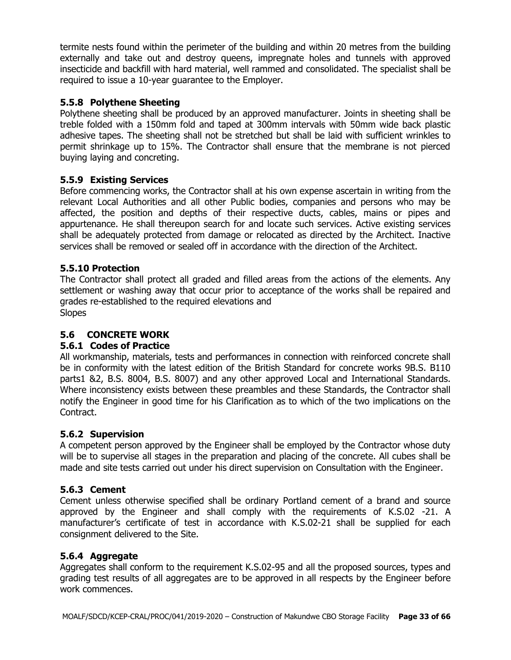termite nests found within the perimeter of the building and within 20 metres from the building externally and take out and destroy queens, impregnate holes and tunnels with approved insecticide and backfill with hard material, well rammed and consolidated. The specialist shall be required to issue a 10-year guarantee to the Employer.

# **5.5.8 Polythene Sheeting**

Polythene sheeting shall be produced by an approved manufacturer. Joints in sheeting shall be treble folded with a 150mm fold and taped at 300mm intervals with 50mm wide back plastic adhesive tapes. The sheeting shall not be stretched but shall be laid with sufficient wrinkles to permit shrinkage up to 15%. The Contractor shall ensure that the membrane is not pierced buying laying and concreting.

# **5.5.9 Existing Services**

Before commencing works, the Contractor shall at his own expense ascertain in writing from the relevant Local Authorities and all other Public bodies, companies and persons who may be affected, the position and depths of their respective ducts, cables, mains or pipes and appurtenance. He shall thereupon search for and locate such services. Active existing services shall be adequately protected from damage or relocated as directed by the Architect. Inactive services shall be removed or sealed off in accordance with the direction of the Architect.

# **5.5.10 Protection**

The Contractor shall protect all graded and filled areas from the actions of the elements. Any settlement or washing away that occur prior to acceptance of the works shall be repaired and grades re-established to the required elevations and **Slopes** 

# **5.6 CONCRETE WORK**

# **5.6.1 Codes of Practice**

All workmanship, materials, tests and performances in connection with reinforced concrete shall be in conformity with the latest edition of the British Standard for concrete works 9B.S. B110 parts1 &2, B.S. 8004, B.S. 8007) and any other approved Local and International Standards. Where inconsistency exists between these preambles and these Standards, the Contractor shall notify the Engineer in good time for his Clarification as to which of the two implications on the Contract.

# **5.6.2 Supervision**

A competent person approved by the Engineer shall be employed by the Contractor whose duty will be to supervise all stages in the preparation and placing of the concrete. All cubes shall be made and site tests carried out under his direct supervision on Consultation with the Engineer.

# **5.6.3 Cement**

Cement unless otherwise specified shall be ordinary Portland cement of a brand and source approved by the Engineer and shall comply with the requirements of K.S.02 -21. A manufacturer's certificate of test in accordance with K.S.02-21 shall be supplied for each consignment delivered to the Site.

# **5.6.4 Aggregate**

Aggregates shall conform to the requirement K.S.02-95 and all the proposed sources, types and grading test results of all aggregates are to be approved in all respects by the Engineer before work commences.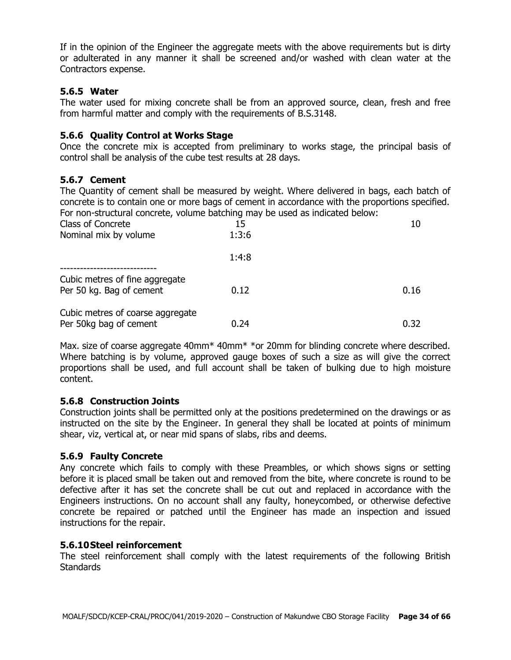If in the opinion of the Engineer the aggregate meets with the above requirements but is dirty or adulterated in any manner it shall be screened and/or washed with clean water at the Contractors expense.

#### **5.6.5 Water**

The water used for mixing concrete shall be from an approved source, clean, fresh and free from harmful matter and comply with the requirements of B.S.3148.

#### **5.6.6 Quality Control at Works Stage**

Once the concrete mix is accepted from preliminary to works stage, the principal basis of control shall be analysis of the cube test results at 28 days.

#### **5.6.7 Cement**

The Quantity of cement shall be measured by weight. Where delivered in bags, each batch of concrete is to contain one or more bags of cement in accordance with the proportions specified. For non-structural concrete, volume batching may be used as indicated below:

| Class of Concrete                | 15    | 10   |
|----------------------------------|-------|------|
| Nominal mix by volume            | 1:3:6 |      |
|                                  | 1:4:8 |      |
| Cubic metres of fine aggregate   |       |      |
| Per 50 kg. Bag of cement         | 0.12  | 0.16 |
| Cubic metres of coarse aggregate |       |      |
| Per 50kg bag of cement           | 0.24  | 0.32 |

Max. size of coarse aggregate 40mm\* 40mm\* \*or 20mm for blinding concrete where described. Where batching is by volume, approved gauge boxes of such a size as will give the correct proportions shall be used, and full account shall be taken of bulking due to high moisture content.

#### **5.6.8 Construction Joints**

Construction joints shall be permitted only at the positions predetermined on the drawings or as instructed on the site by the Engineer. In general they shall be located at points of minimum shear, viz, vertical at, or near mid spans of slabs, ribs and deems.

#### **5.6.9 Faulty Concrete**

Any concrete which fails to comply with these Preambles, or which shows signs or setting before it is placed small be taken out and removed from the bite, where concrete is round to be defective after it has set the concrete shall be cut out and replaced in accordance with the Engineers instructions. On no account shall any faulty, honeycombed, or otherwise defective concrete be repaired or patched until the Engineer has made an inspection and issued instructions for the repair.

#### **5.6.10Steel reinforcement**

The steel reinforcement shall comply with the latest requirements of the following British **Standards**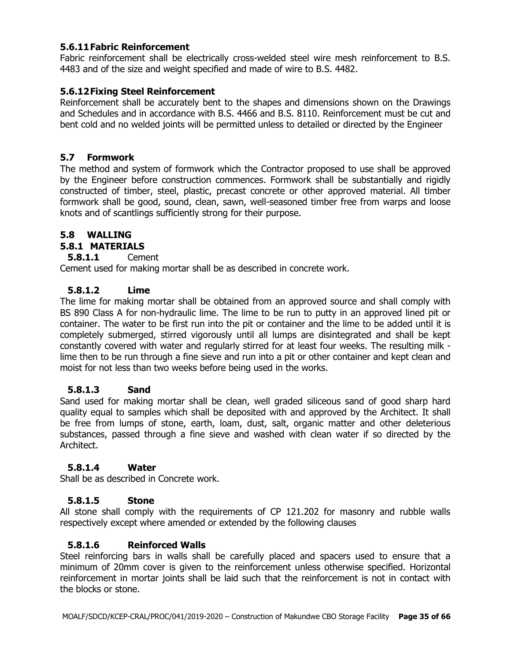#### **5.6.11Fabric Reinforcement**

Fabric reinforcement shall be electrically cross-welded steel wire mesh reinforcement to B.S. 4483 and of the size and weight specified and made of wire to B.S. 4482.

#### **5.6.12Fixing Steel Reinforcement**

Reinforcement shall be accurately bent to the shapes and dimensions shown on the Drawings and Schedules and in accordance with B.S. 4466 and B.S. 8110. Reinforcement must be cut and bent cold and no welded joints will be permitted unless to detailed or directed by the Engineer

#### **5.7 Formwork**

The method and system of formwork which the Contractor proposed to use shall be approved by the Engineer before construction commences. Formwork shall be substantially and rigidly constructed of timber, steel, plastic, precast concrete or other approved material. All timber formwork shall be good, sound, clean, sawn, well-seasoned timber free from warps and loose knots and of scantlings sufficiently strong for their purpose.

# **5.8 WALLING**

# **5.8.1 MATERIALS**

**5.8.1.1** Cement

Cement used for making mortar shall be as described in concrete work.

#### **5.8.1.2 Lime**

The lime for making mortar shall be obtained from an approved source and shall comply with BS 890 Class A for non-hydraulic lime. The lime to be run to putty in an approved lined pit or container. The water to be first run into the pit or container and the lime to be added until it is completely submerged, stirred vigorously until all lumps are disintegrated and shall be kept constantly covered with water and regularly stirred for at least four weeks. The resulting milk lime then to be run through a fine sieve and run into a pit or other container and kept clean and moist for not less than two weeks before being used in the works.

# **5.8.1.3 Sand**

Sand used for making mortar shall be clean, well graded siliceous sand of good sharp hard quality equal to samples which shall be deposited with and approved by the Architect. It shall be free from lumps of stone, earth, loam, dust, salt, organic matter and other deleterious substances, passed through a fine sieve and washed with clean water if so directed by the Architect.

#### **5.8.1.4 Water**

Shall be as described in Concrete work.

# **5.8.1.5 Stone**

All stone shall comply with the requirements of CP 121.202 for masonry and rubble walls respectively except where amended or extended by the following clauses

# **5.8.1.6 Reinforced Walls**

Steel reinforcing bars in walls shall be carefully placed and spacers used to ensure that a minimum of 20mm cover is given to the reinforcement unless otherwise specified. Horizontal reinforcement in mortar joints shall be laid such that the reinforcement is not in contact with the blocks or stone.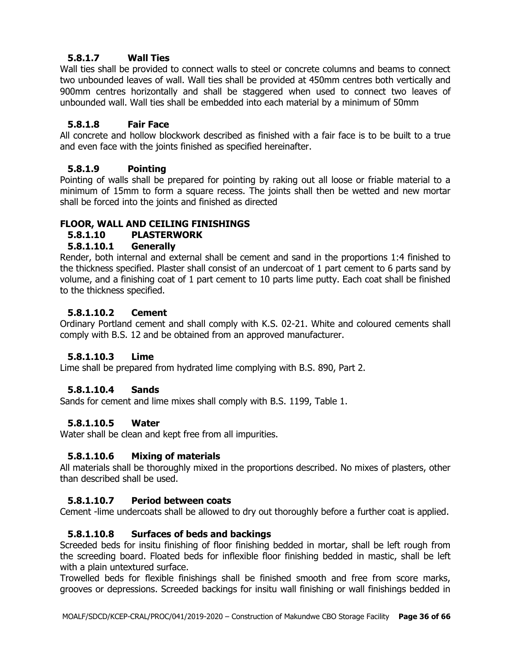# **5.8.1.7 Wall Ties**

Wall ties shall be provided to connect walls to steel or concrete columns and beams to connect two unbounded leaves of wall. Wall ties shall be provided at 450mm centres both vertically and 900mm centres horizontally and shall be staggered when used to connect two leaves of unbounded wall. Wall ties shall be embedded into each material by a minimum of 50mm

# **5.8.1.8 Fair Face**

All concrete and hollow blockwork described as finished with a fair face is to be built to a true and even face with the joints finished as specified hereinafter.

# **5.8.1.9 Pointing**

Pointing of walls shall be prepared for pointing by raking out all loose or friable material to a minimum of 15mm to form a square recess. The joints shall then be wetted and new mortar shall be forced into the joints and finished as directed

# **FLOOR, WALL AND CEILING FINISHINGS**

# **5.8.1.10 PLASTERWORK**

# **5.8.1.10.1 Generally**

Render, both internal and external shall be cement and sand in the proportions 1:4 finished to the thickness specified. Plaster shall consist of an undercoat of 1 part cement to 6 parts sand by volume, and a finishing coat of 1 part cement to 10 parts lime putty. Each coat shall be finished to the thickness specified.

# **5.8.1.10.2 Cement**

Ordinary Portland cement and shall comply with K.S. 02-21. White and coloured cements shall comply with B.S. 12 and be obtained from an approved manufacturer.

# **5.8.1.10.3 Lime**

Lime shall be prepared from hydrated lime complying with B.S. 890, Part 2.

# **5.8.1.10.4 Sands**

Sands for cement and lime mixes shall comply with B.S. 1199, Table 1.

# **5.8.1.10.5 Water**

Water shall be clean and kept free from all impurities.

# **5.8.1.10.6 Mixing of materials**

All materials shall be thoroughly mixed in the proportions described. No mixes of plasters, other than described shall be used.

# **5.8.1.10.7 Period between coats**

Cement -lime undercoats shall be allowed to dry out thoroughly before a further coat is applied.

# **5.8.1.10.8 Surfaces of beds and backings**

Screeded beds for insitu finishing of floor finishing bedded in mortar, shall be left rough from the screeding board. Floated beds for inflexible floor finishing bedded in mastic, shall be left with a plain untextured surface.

Trowelled beds for flexible finishings shall be finished smooth and free from score marks, grooves or depressions. Screeded backings for insitu wall finishing or wall finishings bedded in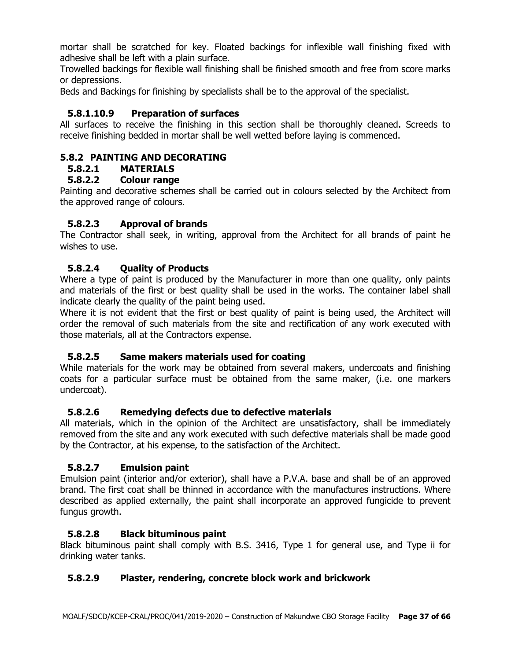mortar shall be scratched for key. Floated backings for inflexible wall finishing fixed with adhesive shall be left with a plain surface.

Trowelled backings for flexible wall finishing shall be finished smooth and free from score marks or depressions.

Beds and Backings for finishing by specialists shall be to the approval of the specialist.

## **5.8.1.10.9 Preparation of surfaces**

All surfaces to receive the finishing in this section shall be thoroughly cleaned. Screeds to receive finishing bedded in mortar shall be well wetted before laying is commenced.

#### **5.8.2 PAINTING AND DECORATING**

## **5.8.2.1 MATERIALS**

# **5.8.2.2 Colour range**

Painting and decorative schemes shall be carried out in colours selected by the Architect from the approved range of colours.

#### **5.8.2.3 Approval of brands**

The Contractor shall seek, in writing, approval from the Architect for all brands of paint he wishes to use.

#### **5.8.2.4 Quality of Products**

Where a type of paint is produced by the Manufacturer in more than one quality, only paints and materials of the first or best quality shall be used in the works. The container label shall indicate clearly the quality of the paint being used.

Where it is not evident that the first or best quality of paint is being used, the Architect will order the removal of such materials from the site and rectification of any work executed with those materials, all at the Contractors expense.

#### **5.8.2.5 Same makers materials used for coating**

While materials for the work may be obtained from several makers, undercoats and finishing coats for a particular surface must be obtained from the same maker, (i.e. one markers undercoat).

#### **5.8.2.6 Remedying defects due to defective materials**

All materials, which in the opinion of the Architect are unsatisfactory, shall be immediately removed from the site and any work executed with such defective materials shall be made good by the Contractor, at his expense, to the satisfaction of the Architect.

#### **5.8.2.7 Emulsion paint**

Emulsion paint (interior and/or exterior), shall have a P.V.A. base and shall be of an approved brand. The first coat shall be thinned in accordance with the manufactures instructions. Where described as applied externally, the paint shall incorporate an approved fungicide to prevent fungus growth.

#### **5.8.2.8 Black bituminous paint**

Black bituminous paint shall comply with B.S. 3416, Type 1 for general use, and Type ii for drinking water tanks.

#### **5.8.2.9 Plaster, rendering, concrete block work and brickwork**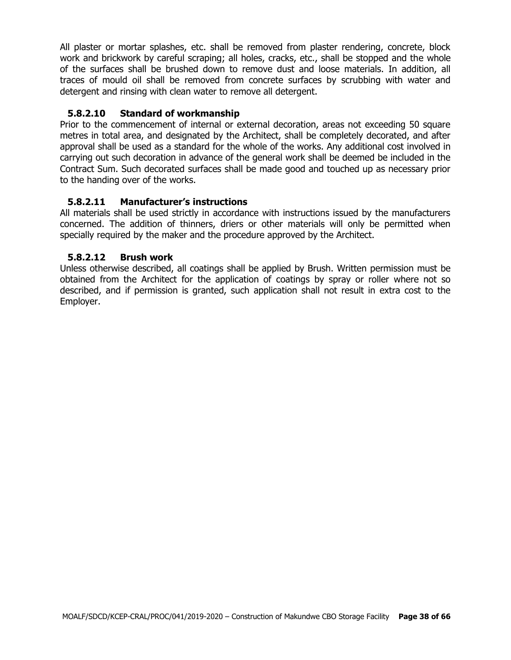All plaster or mortar splashes, etc. shall be removed from plaster rendering, concrete, block work and brickwork by careful scraping; all holes, cracks, etc., shall be stopped and the whole of the surfaces shall be brushed down to remove dust and loose materials. In addition, all traces of mould oil shall be removed from concrete surfaces by scrubbing with water and detergent and rinsing with clean water to remove all detergent.

# **5.8.2.10 Standard of workmanship**

Prior to the commencement of internal or external decoration, areas not exceeding 50 square metres in total area, and designated by the Architect, shall be completely decorated, and after approval shall be used as a standard for the whole of the works. Any additional cost involved in carrying out such decoration in advance of the general work shall be deemed be included in the Contract Sum. Such decorated surfaces shall be made good and touched up as necessary prior to the handing over of the works.

# **5.8.2.11 Manufacturer's instructions**

All materials shall be used strictly in accordance with instructions issued by the manufacturers concerned. The addition of thinners, driers or other materials will only be permitted when specially required by the maker and the procedure approved by the Architect.

# **5.8.2.12 Brush work**

Unless otherwise described, all coatings shall be applied by Brush. Written permission must be obtained from the Architect for the application of coatings by spray or roller where not so described, and if permission is granted, such application shall not result in extra cost to the Employer.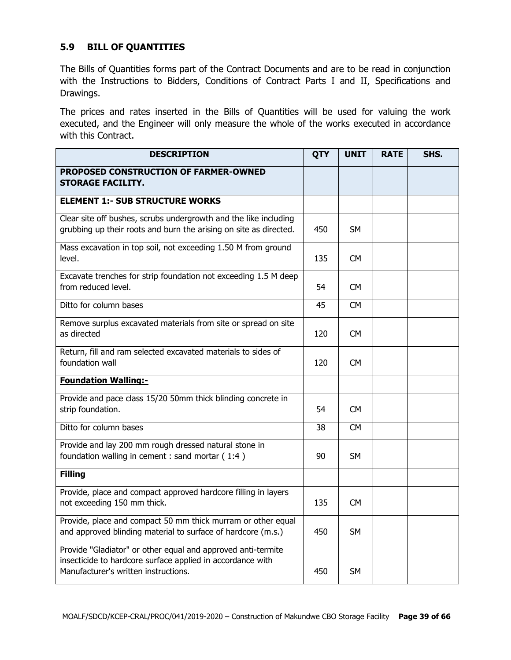# **5.9 BILL OF QUANTITIES**

The Bills of Quantities forms part of the Contract Documents and are to be read in conjunction with the Instructions to Bidders, Conditions of Contract Parts I and II, Specifications and Drawings.

The prices and rates inserted in the Bills of Quantities will be used for valuing the work executed, and the Engineer will only measure the whole of the works executed in accordance with this Contract.

| <b>DESCRIPTION</b>                                                                                                                                                 | <b>QTY</b> | <b>UNIT</b> | <b>RATE</b> | SHS. |
|--------------------------------------------------------------------------------------------------------------------------------------------------------------------|------------|-------------|-------------|------|
| PROPOSED CONSTRUCTION OF FARMER-OWNED<br><b>STORAGE FACILITY.</b>                                                                                                  |            |             |             |      |
| <b>ELEMENT 1:- SUB STRUCTURE WORKS</b>                                                                                                                             |            |             |             |      |
| Clear site off bushes, scrubs undergrowth and the like including<br>grubbing up their roots and burn the arising on site as directed.                              | 450        | SM          |             |      |
| Mass excavation in top soil, not exceeding 1.50 M from ground<br>level.                                                                                            | 135        | CM          |             |      |
| Excavate trenches for strip foundation not exceeding 1.5 M deep<br>from reduced level.                                                                             | 54         | <b>CM</b>   |             |      |
| Ditto for column bases                                                                                                                                             | 45         | <b>CM</b>   |             |      |
| Remove surplus excavated materials from site or spread on site<br>as directed                                                                                      | 120        | CM          |             |      |
| Return, fill and ram selected excavated materials to sides of<br>foundation wall                                                                                   | 120        | <b>CM</b>   |             |      |
| <b>Foundation Walling:-</b>                                                                                                                                        |            |             |             |      |
| Provide and pace class 15/20 50mm thick blinding concrete in<br>strip foundation.                                                                                  | 54         | CM          |             |      |
| Ditto for column bases                                                                                                                                             | 38         | <b>CM</b>   |             |      |
| Provide and lay 200 mm rough dressed natural stone in<br>foundation walling in cement : sand mortar (1:4)                                                          | 90         | SM.         |             |      |
| <b>Filling</b>                                                                                                                                                     |            |             |             |      |
| Provide, place and compact approved hardcore filling in layers<br>not exceeding 150 mm thick.                                                                      | 135        | <b>CM</b>   |             |      |
| Provide, place and compact 50 mm thick murram or other equal<br>and approved blinding material to surface of hardcore (m.s.)                                       | 450        | <b>SM</b>   |             |      |
| Provide "Gladiator" or other equal and approved anti-termite<br>insecticide to hardcore surface applied in accordance with<br>Manufacturer's written instructions. | 450        | <b>SM</b>   |             |      |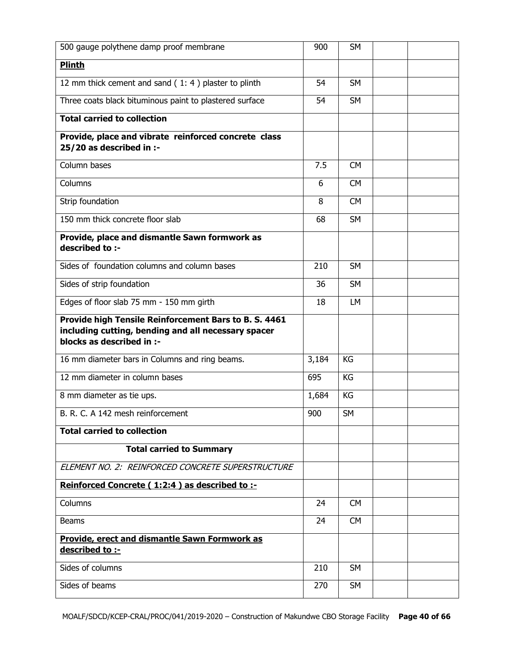| 500 gauge polythene damp proof membrane                                                                                                   | 900   | <b>SM</b> |  |
|-------------------------------------------------------------------------------------------------------------------------------------------|-------|-----------|--|
| <b>Plinth</b>                                                                                                                             |       |           |  |
| 12 mm thick cement and sand (1:4) plaster to plinth                                                                                       | 54    | <b>SM</b> |  |
| Three coats black bituminous paint to plastered surface                                                                                   | 54    | <b>SM</b> |  |
| <b>Total carried to collection</b>                                                                                                        |       |           |  |
| Provide, place and vibrate reinforced concrete class<br>25/20 as described in :-                                                          |       |           |  |
| Column bases                                                                                                                              | 7.5   | <b>CM</b> |  |
| Columns                                                                                                                                   | 6     | <b>CM</b> |  |
| Strip foundation                                                                                                                          | 8     | <b>CM</b> |  |
| 150 mm thick concrete floor slab                                                                                                          | 68    | <b>SM</b> |  |
| Provide, place and dismantle Sawn formwork as<br>described to :-                                                                          |       |           |  |
| Sides of foundation columns and column bases                                                                                              | 210   | <b>SM</b> |  |
| Sides of strip foundation                                                                                                                 | 36    | <b>SM</b> |  |
| Edges of floor slab 75 mm - 150 mm girth                                                                                                  | 18    | <b>LM</b> |  |
| Provide high Tensile Reinforcement Bars to B. S. 4461<br>including cutting, bending and all necessary spacer<br>blocks as described in :- |       |           |  |
| 16 mm diameter bars in Columns and ring beams.                                                                                            | 3,184 | KG        |  |
| 12 mm diameter in column bases                                                                                                            | 695   | KG        |  |
| 8 mm diameter as tie ups.                                                                                                                 | 1,684 | KG        |  |
| B. R. C. A 142 mesh reinforcement                                                                                                         | 900   | <b>SM</b> |  |
| <b>Total carried to collection</b>                                                                                                        |       |           |  |
| <b>Total carried to Summary</b>                                                                                                           |       |           |  |
| ELEMENT NO. 2: REINFORCED CONCRETE SUPERSTRUCTURE                                                                                         |       |           |  |
| Reinforced Concrete (1:2:4) as described to :-                                                                                            |       |           |  |
| Columns                                                                                                                                   | 24    | <b>CM</b> |  |
| <b>Beams</b>                                                                                                                              | 24    | <b>CM</b> |  |
| <b>Provide, erect and dismantle Sawn Formwork as</b><br>described to :-                                                                   |       |           |  |
| Sides of columns                                                                                                                          | 210   | <b>SM</b> |  |
| Sides of beams                                                                                                                            | 270   | <b>SM</b> |  |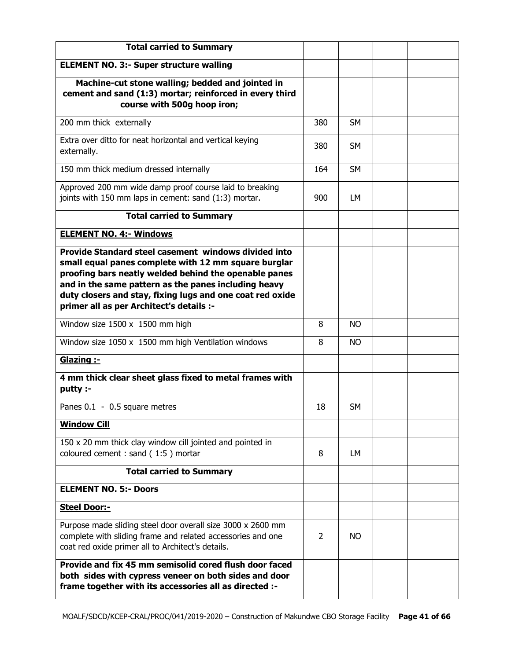| <b>Total carried to Summary</b>                                                                                                                                                                                                                                                                                                        |                |           |  |
|----------------------------------------------------------------------------------------------------------------------------------------------------------------------------------------------------------------------------------------------------------------------------------------------------------------------------------------|----------------|-----------|--|
| <b>ELEMENT NO. 3:- Super structure walling</b>                                                                                                                                                                                                                                                                                         |                |           |  |
| Machine-cut stone walling; bedded and jointed in<br>cement and sand (1:3) mortar; reinforced in every third<br>course with 500g hoop iron;                                                                                                                                                                                             |                |           |  |
| 200 mm thick externally                                                                                                                                                                                                                                                                                                                | 380            | <b>SM</b> |  |
| Extra over ditto for neat horizontal and vertical keying<br>externally.                                                                                                                                                                                                                                                                | 380            | <b>SM</b> |  |
| 150 mm thick medium dressed internally                                                                                                                                                                                                                                                                                                 | 164            | <b>SM</b> |  |
| Approved 200 mm wide damp proof course laid to breaking<br>joints with 150 mm laps in cement: sand (1:3) mortar.                                                                                                                                                                                                                       | 900            | LМ        |  |
| <b>Total carried to Summary</b>                                                                                                                                                                                                                                                                                                        |                |           |  |
| <b>ELEMENT NO. 4:- Windows</b>                                                                                                                                                                                                                                                                                                         |                |           |  |
| Provide Standard steel casement windows divided into<br>small equal panes complete with 12 mm square burglar<br>proofing bars neatly welded behind the openable panes<br>and in the same pattern as the panes including heavy<br>duty closers and stay, fixing lugs and one coat red oxide<br>primer all as per Architect's details :- |                |           |  |
| Window size 1500 x 1500 mm high                                                                                                                                                                                                                                                                                                        | 8              | <b>NO</b> |  |
| Window size 1050 x 1500 mm high Ventilation windows                                                                                                                                                                                                                                                                                    | 8              | <b>NO</b> |  |
| Glazing :-                                                                                                                                                                                                                                                                                                                             |                |           |  |
| 4 mm thick clear sheet glass fixed to metal frames with<br>putty :-                                                                                                                                                                                                                                                                    |                |           |  |
| Panes 0.1 - 0.5 square metres                                                                                                                                                                                                                                                                                                          | 18             | <b>SM</b> |  |
| <b>Window Cill</b>                                                                                                                                                                                                                                                                                                                     |                |           |  |
| 150 x 20 mm thick clay window cill jointed and pointed in<br>coloured cement : sand (1:5) mortar                                                                                                                                                                                                                                       | 8              | LМ        |  |
| <b>Total carried to Summary</b>                                                                                                                                                                                                                                                                                                        |                |           |  |
| <b>ELEMENT NO. 5:- Doors</b>                                                                                                                                                                                                                                                                                                           |                |           |  |
| <b>Steel Door:-</b>                                                                                                                                                                                                                                                                                                                    |                |           |  |
| Purpose made sliding steel door overall size 3000 x 2600 mm<br>complete with sliding frame and related accessories and one<br>coat red oxide primer all to Architect's details.                                                                                                                                                        | $\overline{2}$ | NO.       |  |
| Provide and fix 45 mm semisolid cored flush door faced<br>both sides with cypress veneer on both sides and door<br>frame together with its accessories all as directed :-                                                                                                                                                              |                |           |  |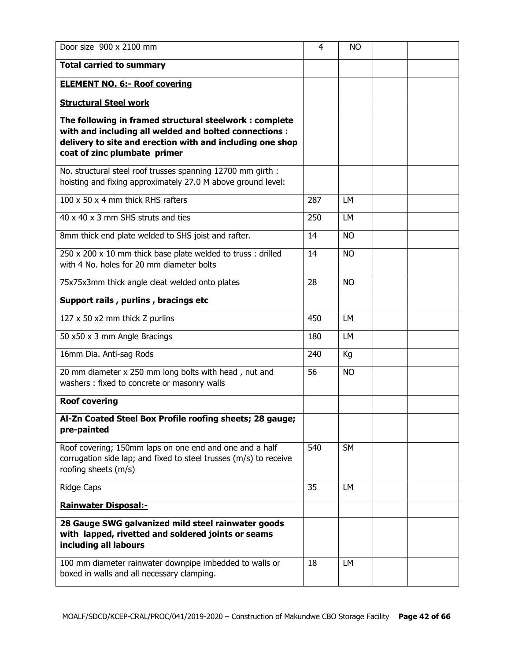| Door size 900 x 2100 mm                                                                                                                                                                                       | 4   | <b>NO</b> |  |
|---------------------------------------------------------------------------------------------------------------------------------------------------------------------------------------------------------------|-----|-----------|--|
| <b>Total carried to summary</b>                                                                                                                                                                               |     |           |  |
| <b>ELEMENT NO. 6:- Roof covering</b>                                                                                                                                                                          |     |           |  |
| <b>Structural Steel work</b>                                                                                                                                                                                  |     |           |  |
| The following in framed structural steelwork: complete<br>with and including all welded and bolted connections :<br>delivery to site and erection with and including one shop<br>coat of zinc plumbate primer |     |           |  |
| No. structural steel roof trusses spanning 12700 mm girth :<br>hoisting and fixing approximately 27.0 M above ground level:                                                                                   |     |           |  |
| 100 x 50 x 4 mm thick RHS rafters                                                                                                                                                                             | 287 | LM        |  |
| 40 x 40 x 3 mm SHS struts and ties                                                                                                                                                                            | 250 | <b>LM</b> |  |
| 8mm thick end plate welded to SHS joist and rafter.                                                                                                                                                           | 14  | <b>NO</b> |  |
| 250 x 200 x 10 mm thick base plate welded to truss : drilled<br>with 4 No. holes for 20 mm diameter bolts                                                                                                     | 14  | <b>NO</b> |  |
| 75x75x3mm thick angle cleat welded onto plates                                                                                                                                                                | 28  | <b>NO</b> |  |
| Support rails, purlins, bracings etc                                                                                                                                                                          |     |           |  |
| 127 x 50 x2 mm thick Z purlins                                                                                                                                                                                | 450 | LM        |  |
| 50 x50 x 3 mm Angle Bracings                                                                                                                                                                                  | 180 | LM        |  |
| 16mm Dia. Anti-sag Rods                                                                                                                                                                                       | 240 | Kg        |  |
| 20 mm diameter x 250 mm long bolts with head, nut and<br>washers : fixed to concrete or masonry walls                                                                                                         | 56  | <b>NO</b> |  |
| <b>Roof covering</b>                                                                                                                                                                                          |     |           |  |
| Al-Zn Coated Steel Box Profile roofing sheets; 28 gauge;<br>pre-painted                                                                                                                                       |     |           |  |
| Roof covering; 150mm laps on one end and one and a half<br>corrugation side lap; and fixed to steel trusses (m/s) to receive<br>roofing sheets (m/s)                                                          | 540 | <b>SM</b> |  |
| <b>Ridge Caps</b>                                                                                                                                                                                             | 35  | LM        |  |
| <b>Rainwater Disposal:-</b>                                                                                                                                                                                   |     |           |  |
| 28 Gauge SWG galvanized mild steel rainwater goods<br>with lapped, rivetted and soldered joints or seams<br>including all labours                                                                             |     |           |  |
| 100 mm diameter rainwater downpipe imbedded to walls or<br>boxed in walls and all necessary clamping.                                                                                                         | 18  | LM        |  |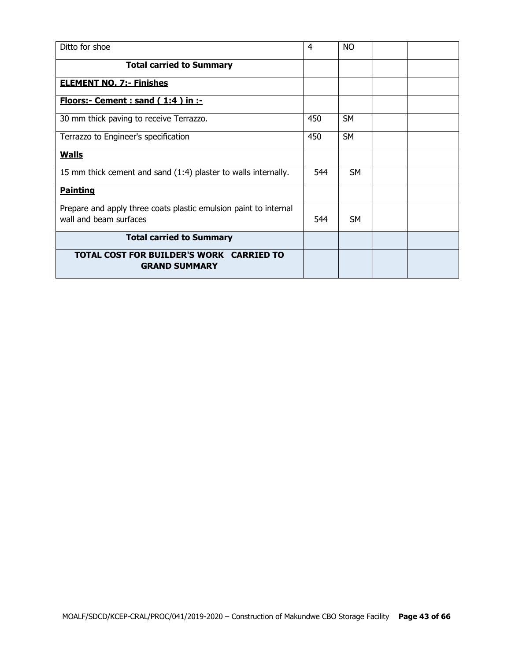| Ditto for shoe                                                                             | 4   | <b>NO</b> |  |
|--------------------------------------------------------------------------------------------|-----|-----------|--|
| <b>Total carried to Summary</b>                                                            |     |           |  |
| <b>ELEMENT NO. 7:- Finishes</b>                                                            |     |           |  |
| Floors:- Cement : sand (1:4) in :-                                                         |     |           |  |
| 30 mm thick paving to receive Terrazzo.                                                    | 450 | <b>SM</b> |  |
| Terrazzo to Engineer's specification                                                       | 450 | <b>SM</b> |  |
| <b>Walls</b>                                                                               |     |           |  |
| 15 mm thick cement and sand (1:4) plaster to walls internally.                             | 544 | <b>SM</b> |  |
| <b>Painting</b>                                                                            |     |           |  |
| Prepare and apply three coats plastic emulsion paint to internal<br>wall and beam surfaces | 544 | <b>SM</b> |  |
| <b>Total carried to Summary</b>                                                            |     |           |  |
| <b>TOTAL COST FOR BUILDER'S WORK CARRIED TO</b><br><b>GRAND SUMMARY</b>                    |     |           |  |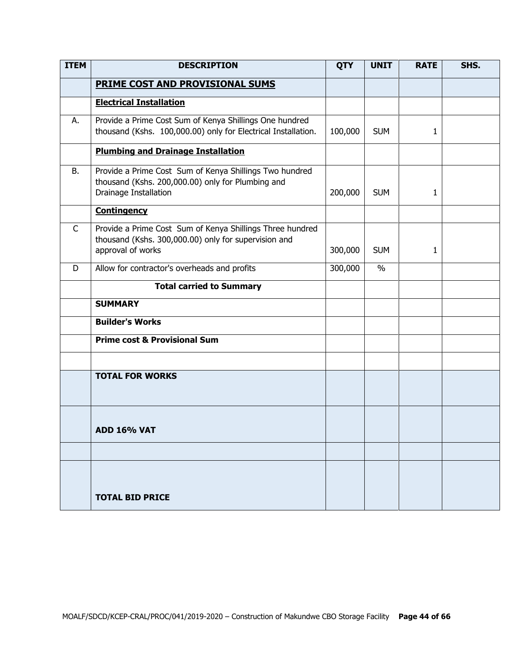| <b>ITEM</b>  | <b>DESCRIPTION</b>                                                                                                                     | <b>QTY</b> | <b>UNIT</b> | <b>RATE</b>  | SHS. |
|--------------|----------------------------------------------------------------------------------------------------------------------------------------|------------|-------------|--------------|------|
|              | <b>PRIME COST AND PROVISIONAL SUMS</b>                                                                                                 |            |             |              |      |
|              | <b>Electrical Installation</b>                                                                                                         |            |             |              |      |
| А.           | Provide a Prime Cost Sum of Kenya Shillings One hundred<br>thousand (Kshs. 100,000.00) only for Electrical Installation.               | 100,000    | <b>SUM</b>  | 1            |      |
|              | <b>Plumbing and Drainage Installation</b>                                                                                              |            |             |              |      |
| B.           | Provide a Prime Cost Sum of Kenya Shillings Two hundred<br>thousand (Kshs. 200,000.00) only for Plumbing and<br>Drainage Installation  | 200,000    | <b>SUM</b>  | 1            |      |
|              | <b>Contingency</b>                                                                                                                     |            |             |              |      |
| $\mathsf{C}$ | Provide a Prime Cost Sum of Kenya Shillings Three hundred<br>thousand (Kshs. 300,000.00) only for supervision and<br>approval of works | 300,000    | <b>SUM</b>  | $\mathbf{1}$ |      |
| D            | Allow for contractor's overheads and profits                                                                                           | 300,000    | $\%$        |              |      |
|              | <b>Total carried to Summary</b>                                                                                                        |            |             |              |      |
|              | <b>SUMMARY</b>                                                                                                                         |            |             |              |      |
|              | <b>Builder's Works</b>                                                                                                                 |            |             |              |      |
|              | <b>Prime cost &amp; Provisional Sum</b>                                                                                                |            |             |              |      |
|              |                                                                                                                                        |            |             |              |      |
|              | <b>TOTAL FOR WORKS</b>                                                                                                                 |            |             |              |      |
|              | <b>ADD 16% VAT</b>                                                                                                                     |            |             |              |      |
|              |                                                                                                                                        |            |             |              |      |
|              | <b>TOTAL BID PRICE</b>                                                                                                                 |            |             |              |      |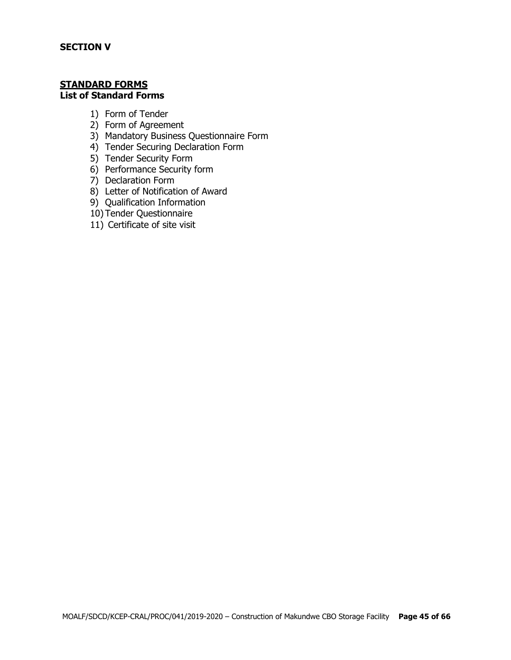#### **STANDARD FORMS List of Standard Forms**

- 1) Form of Tender
- 2) Form of Agreement
- 3) Mandatory Business Questionnaire Form
- 4) Tender Securing Declaration Form
- 5) Tender Security Form
- 6) Performance Security form
- 7) Declaration Form
- 8) Letter of Notification of Award
- 9) Qualification Information
- 10) Tender Questionnaire
- 11) Certificate of site visit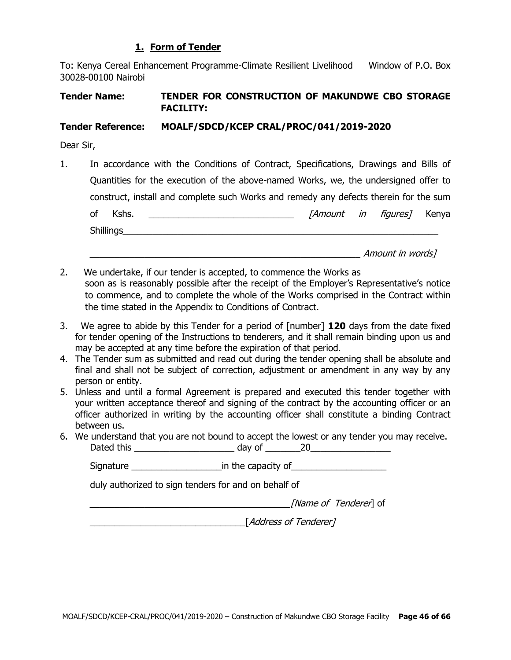# **1. Form of Tender**

To: Kenya Cereal Enhancement Programme-Climate Resilient Livelihood Window of P.O. Box 30028-00100 Nairobi

# **Tender Name: TENDER FOR CONSTRUCTION OF MAKUNDWE CBO STORAGE FACILITY:**

#### **Tender Reference: MOALF/SDCD/KCEP CRAL/PROC/041/2019-2020**

Dear Sir,

1. In accordance with the Conditions of Contract, Specifications, Drawings and Bills of Quantities for the execution of the above-named Works, we, the undersigned offer to construct, install and complete such Works and remedy any defects therein for the sum of Kshs. \_\_\_\_\_\_\_\_\_\_\_\_\_\_\_\_\_\_\_\_\_\_\_\_\_\_\_\_\_ [Amount in figures] Kenya Shillings\_\_\_\_\_\_\_\_\_\_\_\_\_\_\_\_\_\_\_\_\_\_\_\_\_\_\_\_\_\_\_\_\_\_\_\_\_\_\_\_\_\_\_\_\_\_\_\_\_\_\_\_\_\_\_\_\_\_\_\_\_\_\_

 $A$ mount in words]

- 2. We undertake, if our tender is accepted, to commence the Works as soon as is reasonably possible after the receipt of the Employer's Representative's notice to commence, and to complete the whole of the Works comprised in the Contract within the time stated in the Appendix to Conditions of Contract.
- 3. We agree to abide by this Tender for a period of [number] **120** days from the date fixed for tender opening of the Instructions to tenderers, and it shall remain binding upon us and may be accepted at any time before the expiration of that period.
- 4. The Tender sum as submitted and read out during the tender opening shall be absolute and final and shall not be subject of correction, adjustment or amendment in any way by any person or entity.
- 5. Unless and until a formal Agreement is prepared and executed this tender together with your written acceptance thereof and signing of the contract by the accounting officer or an officer authorized in writing by the accounting officer shall constitute a binding Contract between us.
- 6. We understand that you are not bound to accept the lowest or any tender you may receive. Dated this \_\_\_\_\_\_\_\_\_\_\_\_\_\_\_\_\_\_\_\_ day of \_\_\_\_\_\_\_20\_\_\_\_\_\_\_\_\_\_\_\_\_\_\_\_

Signature \_\_\_\_\_\_\_\_\_\_\_\_\_\_\_\_\_\_in the capacity of\_\_\_\_\_\_\_\_\_\_\_\_\_\_\_\_\_\_\_

duly authorized to sign tenders for and on behalf of

[*Name of Tenderer*] of

\_\_\_\_\_\_\_\_\_\_\_\_\_\_\_\_\_\_\_\_\_\_\_\_\_\_\_\_\_\_\_[Address of Tenderer]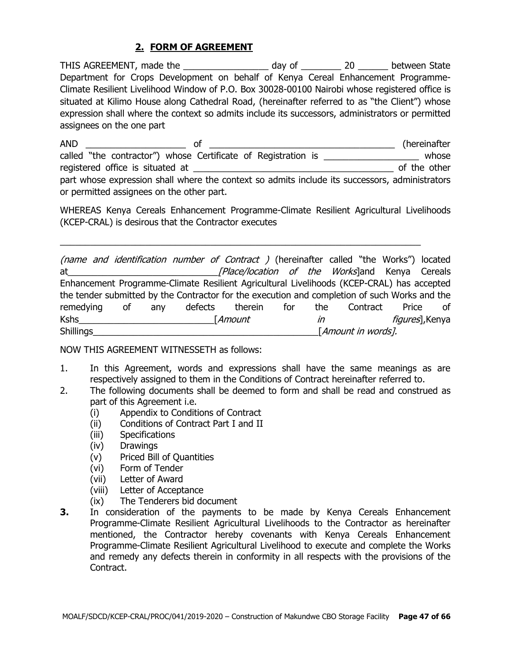# **2. FORM OF AGREEMENT**

THIS AGREEMENT, made the \_\_\_\_\_\_\_\_\_\_\_\_\_\_\_\_\_\_\_ day of \_\_\_\_\_\_\_\_\_\_ 20 \_\_\_\_\_\_\_ between State Department for Crops Development on behalf of Kenya Cereal Enhancement Programme-Climate Resilient Livelihood Window of P.O. Box 30028-00100 Nairobi whose registered office is situated at Kilimo House along Cathedral Road, (hereinafter referred to as "the Client") whose expression shall where the context so admits include its successors, administrators or permitted assignees on the one part

AND \_\_\_\_\_\_\_\_\_\_\_\_\_\_\_\_\_\_\_\_ of \_\_\_\_\_\_\_\_\_\_\_\_\_\_\_\_\_\_\_\_\_\_\_\_\_\_\_\_\_\_\_\_\_\_\_\_\_ (hereinafter called "the contractor") whose Certificate of Registration is \_\_\_\_\_\_\_\_\_\_\_\_\_\_\_\_\_\_\_\_ whose registered office is situated at \_\_\_\_\_\_\_\_\_\_\_\_\_\_\_\_\_\_\_\_\_\_\_\_\_\_\_\_\_\_\_\_\_\_\_\_\_\_\_\_ of the other part whose expression shall where the context so admits include its successors, administrators or permitted assignees on the other part.

WHEREAS Kenya Cereals Enhancement Programme-Climate Resilient Agricultural Livelihoods (KCEP-CRAL) is desirous that the Contractor executes

 $\_$  , and the set of the set of the set of the set of the set of the set of the set of the set of the set of the set of the set of the set of the set of the set of the set of the set of the set of the set of the set of th

(name and identification number of Contract ) (hereinafter called "the Works") located at\_\_\_\_\_\_\_\_\_\_\_\_\_\_\_\_\_\_\_\_\_\_\_\_\_\_\_\_\_\_[Place/location of the Works]and Kenya Cereals Enhancement Programme-Climate Resilient Agricultural Livelihoods (KCEP-CRAL) has accepted the tender submitted by the Contractor for the execution and completion of such Works and the remedying of any defects therein for the Contract Price of Kshs\_\_\_\_\_\_\_\_\_\_\_\_\_\_\_\_\_\_\_\_\_\_\_\_\_\_\_[Amount in figures],Kenya  $\begin{aligned} \text{SINICAR} \end{aligned}$   $[Amount in words].$ 

NOW THIS AGREEMENT WITNESSETH as follows:

- 1. In this Agreement, words and expressions shall have the same meanings as are respectively assigned to them in the Conditions of Contract hereinafter referred to.
- 2. The following documents shall be deemed to form and shall be read and construed as part of this Agreement i.e.
	- (i) Appendix to Conditions of Contract
	- (ii) Conditions of Contract Part I and II
	- (iii) Specifications
	- (iv) Drawings
	- (v) Priced Bill of Quantities
	- (vi) Form of Tender
	- (vii) Letter of Award
	- (viii) Letter of Acceptance
	- (ix) The Tenderers bid document
- **3.** In consideration of the payments to be made by Kenya Cereals Enhancement Programme-Climate Resilient Agricultural Livelihoods to the Contractor as hereinafter mentioned, the Contractor hereby covenants with Kenya Cereals Enhancement Programme-Climate Resilient Agricultural Livelihood to execute and complete the Works and remedy any defects therein in conformity in all respects with the provisions of the Contract.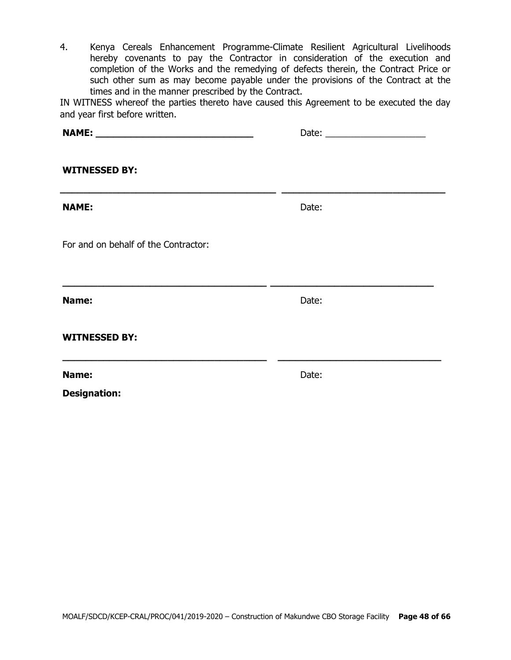4. Kenya Cereals Enhancement Programme-Climate Resilient Agricultural Livelihoods hereby covenants to pay the Contractor in consideration of the execution and completion of the Works and the remedying of defects therein, the Contract Price or such other sum as may become payable under the provisions of the Contract at the times and in the manner prescribed by the Contract.

IN WITNESS whereof the parties thereto have caused this Agreement to be executed the day and year first before written.

| <b>WITNESSED BY:</b>                                              |       |  |
|-------------------------------------------------------------------|-------|--|
| <b>NAME:</b>                                                      | Date: |  |
| For and on behalf of the Contractor:                              |       |  |
| Name:                                                             | Date: |  |
| <b>WITNESSED BY:</b>                                              |       |  |
| <u> 1980 - Johann Stoff, amerikansk politik (* 1901)</u><br>Name: | Date: |  |
| <b>Designation:</b>                                               |       |  |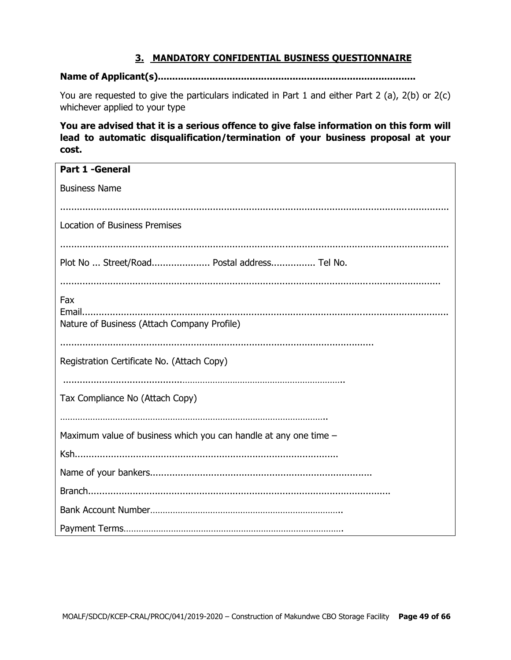# **3. MANDATORY CONFIDENTIAL BUSINESS QUESTIONNAIRE**

#### **Name of Applicant(s)..........................................................................................**

You are requested to give the particulars indicated in Part 1 and either Part 2 (a), 2(b) or 2(c) whichever applied to your type

**You are advised that it is a serious offence to give false information on this form will lead to automatic disqualification/termination of your business proposal at your cost.**

| <b>Part 1 -General</b>                                           |
|------------------------------------------------------------------|
|                                                                  |
| <b>Business Name</b>                                             |
|                                                                  |
|                                                                  |
| <b>Location of Business Premises</b>                             |
|                                                                  |
| Plot No  Street/Road Postal address Tel No.                      |
|                                                                  |
|                                                                  |
| Fax                                                              |
|                                                                  |
| Nature of Business (Attach Company Profile)                      |
|                                                                  |
|                                                                  |
| Registration Certificate No. (Attach Copy)                       |
|                                                                  |
| Tax Compliance No (Attach Copy)                                  |
|                                                                  |
|                                                                  |
| Maximum value of business which you can handle at any one time - |
|                                                                  |
|                                                                  |
|                                                                  |
|                                                                  |
|                                                                  |
|                                                                  |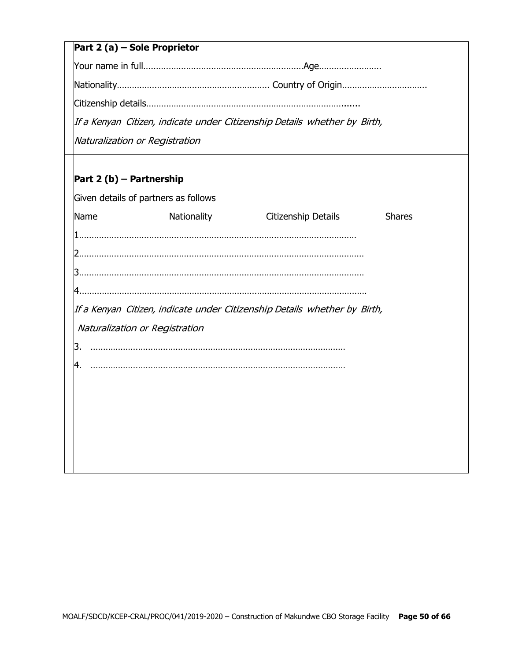# **Part 2 (a) – Sole Proprietor**

Your name in full….……………………………………………………Age…………………….

Nationality……………………………………………………. Country of Origin…………………………….

Citizenship details…………………………………………………………………….......

If <sup>a</sup> Kenyan Citizen, indicate under Citizenship Details whether by Birth,

Naturalization or Registration

# **Part 2 (b) – Partnership**

| Given details of partners as follows |             |                                                                           |               |
|--------------------------------------|-------------|---------------------------------------------------------------------------|---------------|
| Name                                 | Nationality | Citizenship Details                                                       | <b>Shares</b> |
|                                      |             |                                                                           |               |
|                                      |             |                                                                           |               |
|                                      |             |                                                                           |               |
|                                      |             |                                                                           |               |
| Naturalization or Registration       |             | If a Kenyan Citizen, indicate under Citizenship Details whether by Birth, |               |
| З.                                   |             |                                                                           |               |
| 4.                                   |             |                                                                           |               |
|                                      |             |                                                                           |               |
|                                      |             |                                                                           |               |
|                                      |             |                                                                           |               |
|                                      |             |                                                                           |               |
|                                      |             |                                                                           |               |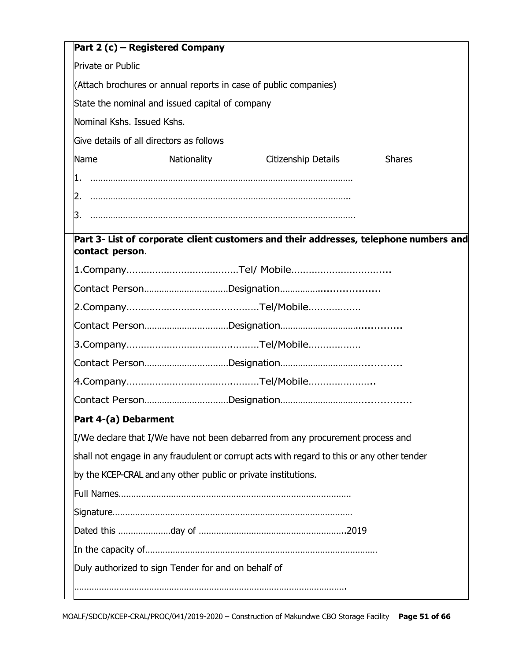|                            | Part 2 (c) – Registered Company                                  |                                                                                            |               |  |  |  |
|----------------------------|------------------------------------------------------------------|--------------------------------------------------------------------------------------------|---------------|--|--|--|
| Private or Public          |                                                                  |                                                                                            |               |  |  |  |
|                            | (Attach brochures or annual reports in case of public companies) |                                                                                            |               |  |  |  |
|                            | State the nominal and issued capital of company                  |                                                                                            |               |  |  |  |
| Nominal Kshs. Issued Kshs. |                                                                  |                                                                                            |               |  |  |  |
|                            | Give details of all directors as follows                         |                                                                                            |               |  |  |  |
| Name                       | Nationality                                                      | Citizenship Details                                                                        | <b>Shares</b> |  |  |  |
| 11.                        |                                                                  |                                                                                            |               |  |  |  |
|                            |                                                                  |                                                                                            |               |  |  |  |
| 3.                         |                                                                  |                                                                                            |               |  |  |  |
|                            |                                                                  | Part 3- List of corporate client customers and their addresses, telephone numbers and      |               |  |  |  |
| contact person.            |                                                                  |                                                                                            |               |  |  |  |
|                            |                                                                  |                                                                                            |               |  |  |  |
|                            |                                                                  |                                                                                            |               |  |  |  |
|                            |                                                                  |                                                                                            |               |  |  |  |
|                            |                                                                  |                                                                                            |               |  |  |  |
|                            |                                                                  |                                                                                            |               |  |  |  |
|                            |                                                                  |                                                                                            |               |  |  |  |
|                            |                                                                  |                                                                                            |               |  |  |  |
|                            |                                                                  |                                                                                            |               |  |  |  |
| Part 4-(a) Debarment       |                                                                  |                                                                                            |               |  |  |  |
|                            |                                                                  | I/We declare that I/We have not been debarred from any procurement process and             |               |  |  |  |
|                            |                                                                  | shall not engage in any fraudulent or corrupt acts with regard to this or any other tender |               |  |  |  |
|                            | by the KCEP-CRAL and any other public or private institutions.   |                                                                                            |               |  |  |  |
|                            |                                                                  |                                                                                            |               |  |  |  |
|                            |                                                                  |                                                                                            |               |  |  |  |
|                            |                                                                  |                                                                                            |               |  |  |  |
|                            |                                                                  |                                                                                            |               |  |  |  |
|                            | Duly authorized to sign Tender for and on behalf of              |                                                                                            |               |  |  |  |
|                            |                                                                  |                                                                                            |               |  |  |  |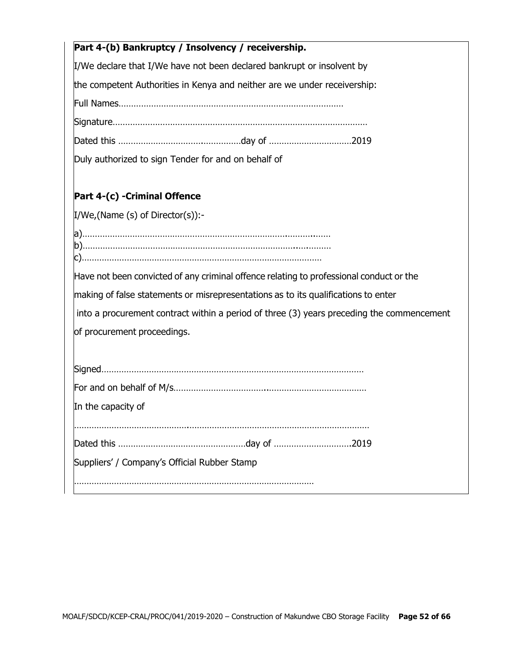| Part 4-(b) Bankruptcy / Insolvency / receivership.                                        |
|-------------------------------------------------------------------------------------------|
| I/We declare that I/We have not been declared bankrupt or insolvent by                    |
| the competent Authorities in Kenya and neither are we under receivership:                 |
|                                                                                           |
|                                                                                           |
|                                                                                           |
| Duly authorized to sign Tender for and on behalf of                                       |
| Part 4-(c) - Criminal Offence                                                             |
| $I/We$ , (Name (s) of Director(s)):-                                                      |
|                                                                                           |
| Have not been convicted of any criminal offence relating to professional conduct or the   |
| making of false statements or misrepresentations as to its qualifications to enter        |
| into a procurement contract within a period of three (3) years preceding the commencement |
| of procurement proceedings.                                                               |
|                                                                                           |
|                                                                                           |
| In the capacity of                                                                        |
|                                                                                           |
|                                                                                           |
| Suppliers' / Company's Official Rubber Stamp                                              |
|                                                                                           |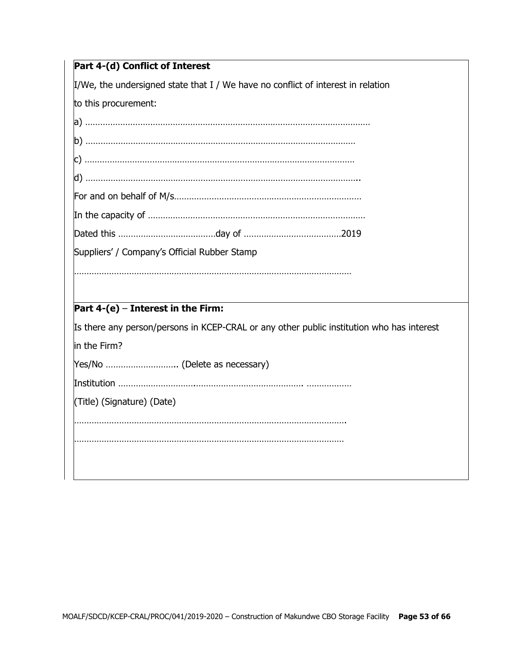$\frac{1}{2}$ I/We, the undersigned state that I / We have no conflict of interest in relation

to this procurement:

| Suppliers' / Company's Official Rubber Stamp |                               |                                                                                           |
|----------------------------------------------|-------------------------------|-------------------------------------------------------------------------------------------|
|                                              |                               |                                                                                           |
|                                              |                               |                                                                                           |
| Part $4-(e)$ – Interest in the Firm:         |                               |                                                                                           |
|                                              |                               | Is there any person/persons in KCEP-CRAL or any other public institution who has interest |
| in the Firm?                                 |                               |                                                                                           |
|                                              | Yes/No  (Delete as necessary) |                                                                                           |
|                                              |                               |                                                                                           |
| (Title) (Signature) (Date)                   |                               |                                                                                           |

……………………………………………………………………………………………….

………………………………………………………………………………………………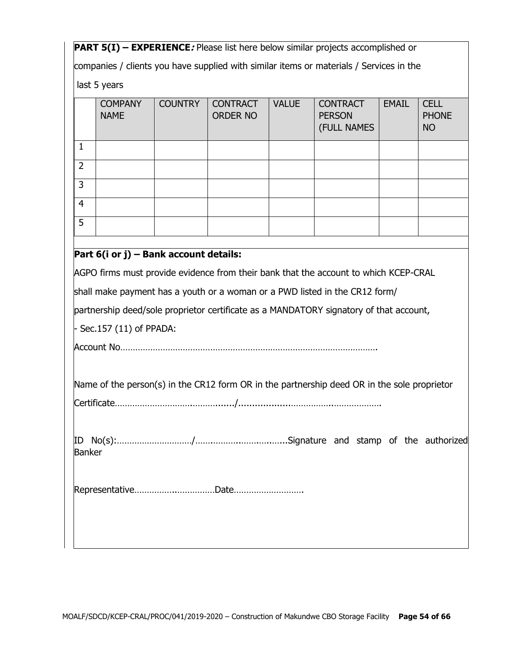**PART 5(I) – EXPERIENCE***:* Please list here below similar projects accomplished or

companies / clients you have supplied with similar items or materials / Services in the

last 5 years

|                | <b>COMPANY</b><br><b>NAME</b> | <b>COUNTRY</b> | <b>CONTRACT</b><br><b>ORDER NO</b> | <b>VALUE</b> | <b>CONTRACT</b><br><b>PERSON</b><br>(FULL NAMES | <b>EMAIL</b> | <b>CELL</b><br><b>PHONE</b><br><b>NO</b> |
|----------------|-------------------------------|----------------|------------------------------------|--------------|-------------------------------------------------|--------------|------------------------------------------|
| 1              |                               |                |                                    |              |                                                 |              |                                          |
| $\overline{2}$ |                               |                |                                    |              |                                                 |              |                                          |
| 3              |                               |                |                                    |              |                                                 |              |                                          |
| $\overline{4}$ |                               |                |                                    |              |                                                 |              |                                          |
| 5              |                               |                |                                    |              |                                                 |              |                                          |
|                | -----<br>.                    |                | .                                  |              |                                                 |              |                                          |

# **Part 6(i or j) – Bank account details:**

AGPO firms must provide evidence from their bank that the account to which KCEP-CRAL

shall make payment has a youth or a woman or a PWD listed in the CR12 form/

partnership deed/sole proprietor certificate as a MANDATORY signatory of that account,

- Sec.157 (11) of PPADA:

Account No………………………………………………………………………………………….

Name of the person(s) in the CR12 form OR in the partnership deed OR in the sole proprietor

Certificate………………………….………......./...................……………..……………….

ID No(s):…………………………/…….………..…….…..…...Signature and stamp of the authorized Banker

Representative……………..……………Date……………………….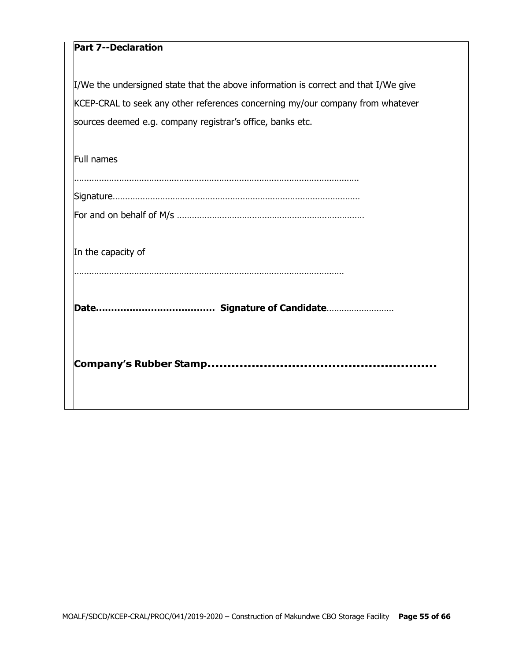# **Part 7--Declaration**

I/We the undersigned state that the above information is correct and that I/We give KCEP-CRAL to seek any other references concerning my/our company from whatever sources deemed e.g. company registrar's office, banks etc.

| In the capacity of |
|--------------------|
|                    |
| Full names         |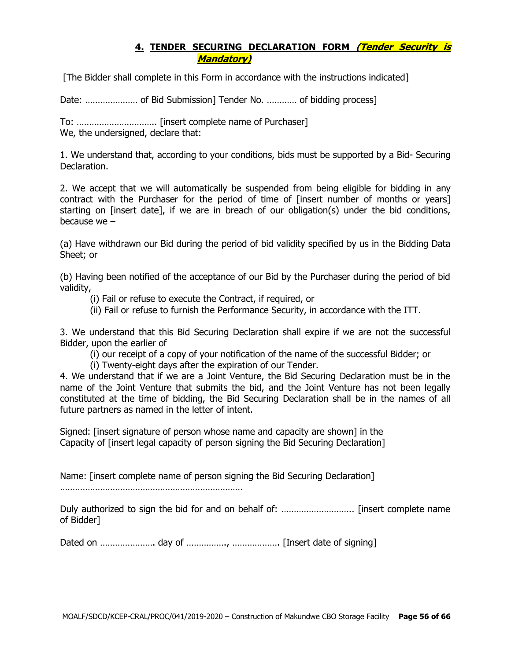# **4. TENDER SECURING DECLARATION FORM (Tender Security is Mandatory)**

[The Bidder shall complete in this Form in accordance with the instructions indicated]

Date: ………………… of Bid Submission] Tender No. ………… of bidding process]

To: ………………………….. [insert complete name of Purchaser] We, the undersigned, declare that:

1. We understand that, according to your conditions, bids must be supported by a Bid- Securing Declaration.

2. We accept that we will automatically be suspended from being eligible for bidding in any contract with the Purchaser for the period of time of [insert number of months or years] starting on [insert date], if we are in breach of our obligation(s) under the bid conditions, because we –

(a) Have withdrawn our Bid during the period of bid validity specified by us in the Bidding Data Sheet; or

(b) Having been notified of the acceptance of our Bid by the Purchaser during the period of bid validity,

(i) Fail or refuse to execute the Contract, if required, or

(ii) Fail or refuse to furnish the Performance Security, in accordance with the ITT.

3. We understand that this Bid Securing Declaration shall expire if we are not the successful Bidder, upon the earlier of

(i) our receipt of a copy of your notification of the name of the successful Bidder; or

(i) Twenty-eight days after the expiration of our Tender.

4. We understand that if we are a Joint Venture, the Bid Securing Declaration must be in the name of the Joint Venture that submits the bid, and the Joint Venture has not been legally constituted at the time of bidding, the Bid Securing Declaration shall be in the names of all future partners as named in the letter of intent.

Signed: [insert signature of person whose name and capacity are shown] in the Capacity of [insert legal capacity of person signing the Bid Securing Declaration]

Name: [insert complete name of person signing the Bid Securing Declaration]

……………………………………………………………….

Duly authorized to sign the bid for and on behalf of: ……………………….. [insert complete name of Bidder]

Dated on …………………. day of ……………., ………………. [Insert date of signing]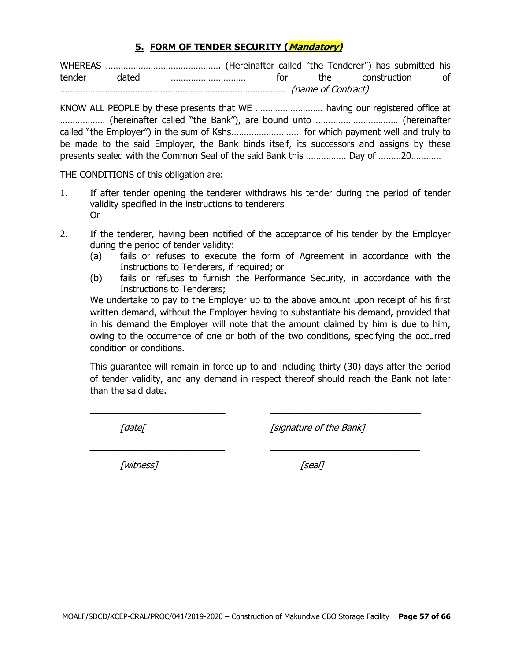#### **5. FORM OF TENDER SECURITY (Mandatory)**

WHEREAS ………………………………………. (Hereinafter called "the Tenderer") has submitted his tender dated ………………………… for the construction of ……………………………………………………………………………… (name of Contract)

KNOW ALL PEOPLE by these presents that WE ……………………… having our registered office at ……………… (hereinafter called "the Bank"), are bound unto …………………………… (hereinafter called "the Employer") in the sum of Kshs.……………………… for which payment well and truly to be made to the said Employer, the Bank binds itself, its successors and assigns by these presents sealed with the Common Seal of the said Bank this ……………. Day of ………20…………

THE CONDITIONS of this obligation are:

- 1. If after tender opening the tenderer withdraws his tender during the period of tender validity specified in the instructions to tenderers Or
- 2. If the tenderer, having been notified of the acceptance of his tender by the Employer during the period of tender validity:
	- (a) fails or refuses to execute the form of Agreement in accordance with the Instructions to Tenderers, if required; or
	- (b) fails or refuses to furnish the Performance Security, in accordance with the Instructions to Tenderers;

We undertake to pay to the Employer up to the above amount upon receipt of his first written demand, without the Employer having to substantiate his demand, provided that in his demand the Employer will note that the amount claimed by him is due to him, owing to the occurrence of one or both of the two conditions, specifying the occurred condition or conditions.

This guarantee will remain in force up to and including thirty (30) days after the period of tender validity, and any demand in respect thereof should reach the Bank not later than the said date.

 $\_$  , and the set of the set of the set of the set of the set of the set of the set of the set of the set of the set of the set of the set of the set of the set of the set of the set of the set of the set of the set of th

\_\_\_\_\_\_\_\_\_\_\_\_\_\_\_\_\_\_\_\_\_\_\_\_\_\_\_ \_\_\_\_\_\_\_\_\_\_\_\_\_\_\_\_\_\_\_\_\_\_\_\_\_\_\_\_\_\_

[date] [signature of the Bank]

[witness] [seal]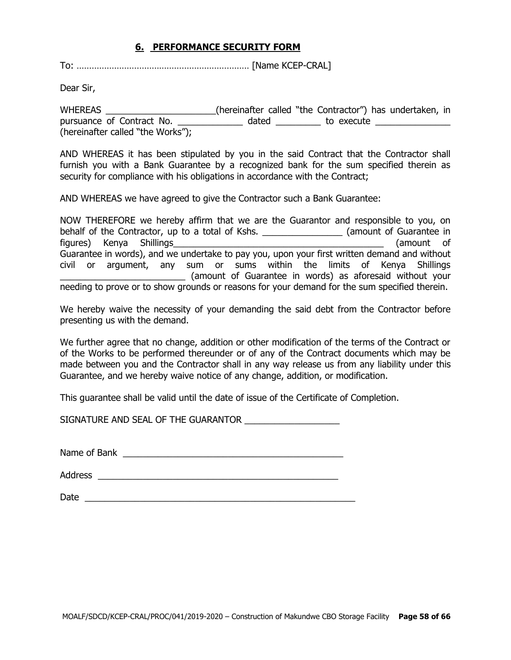#### **6. PERFORMANCE SECURITY FORM**

To: …………………………………………………………… [Name KCEP-CRAL]

Dear Sir,

WHEREAS \_\_\_\_\_\_\_\_\_\_\_\_\_\_\_\_\_\_\_\_\_\_(hereinafter called "the Contractor") has undertaken, in pursuance of Contract No. \_\_\_\_\_\_\_\_\_\_\_\_\_\_ dated \_\_\_\_\_\_\_\_\_\_ to execute \_\_\_\_\_\_\_\_\_\_\_ (hereinafter called "the Works");

AND WHEREAS it has been stipulated by you in the said Contract that the Contractor shall furnish you with a Bank Guarantee by a recognized bank for the sum specified therein as security for compliance with his obligations in accordance with the Contract;

AND WHEREAS we have agreed to give the Contractor such a Bank Guarantee:

NOW THEREFORE we hereby affirm that we are the Guarantor and responsible to you, on behalf of the Contractor, up to a total of Kshs. \_\_\_\_\_\_\_\_\_\_\_\_\_\_\_\_\_\_\_\_(amount of Guarantee in figures) Kenya Shillings\_\_\_\_\_\_\_\_\_\_\_\_\_\_\_\_\_\_\_\_\_\_\_\_\_\_\_\_\_\_\_\_\_\_\_\_\_\_\_\_\_\_ (amount of Guarantee in words), and we undertake to pay you, upon your first written demand and without civil or argument, any sum or sums within the limits of Kenya Shillings \_\_\_\_\_\_\_\_\_\_\_\_\_\_\_\_\_\_\_\_\_\_\_\_\_ (amount of Guarantee in words) as aforesaid without your needing to prove or to show grounds or reasons for your demand for the sum specified therein.

We hereby waive the necessity of your demanding the said debt from the Contractor before presenting us with the demand.

We further agree that no change, addition or other modification of the terms of the Contract or of the Works to be performed thereunder or of any of the Contract documents which may be made between you and the Contractor shall in any way release us from any liability under this Guarantee, and we hereby waive notice of any change, addition, or modification.

This guarantee shall be valid until the date of issue of the Certificate of Completion.

SIGNATURE AND SEAL OF THE GUARANTOR  $\_\_\_\_\_\_\_\_\_\_\_$ 

Name of Bank \_\_\_\_\_\_\_\_\_\_\_\_\_\_\_\_\_\_\_\_\_\_\_\_\_\_\_\_\_\_\_\_\_\_\_\_\_\_\_\_\_\_\_\_

Address  $\overline{\phantom{a}}$ 

Date  $\Box$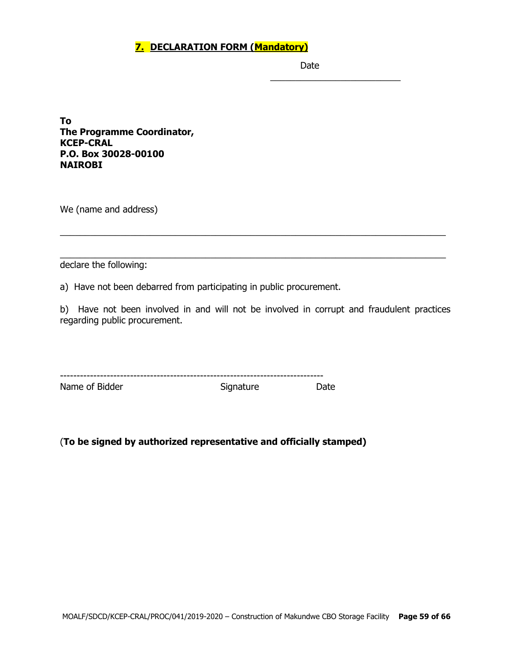# **7. DECLARATION FORM (Mandatory)**

Date

\_\_\_\_\_\_\_\_\_\_\_\_\_\_\_\_\_\_\_\_\_\_\_\_\_\_

**To The Programme Coordinator, KCEP-CRAL P.O. Box 30028-00100 NAIROBI**

We (name and address)

declare the following:

a) Have not been debarred from participating in public procurement.

b) Have not been involved in and will not be involved in corrupt and fraudulent practices regarding public procurement.

\_\_\_\_\_\_\_\_\_\_\_\_\_\_\_\_\_\_\_\_\_\_\_\_\_\_\_\_\_\_\_\_\_\_\_\_\_\_\_\_\_\_\_\_\_\_\_\_\_\_\_\_\_\_\_\_\_\_\_\_\_\_\_\_\_\_\_\_\_\_\_\_\_\_\_\_\_

\_\_\_\_\_\_\_\_\_\_\_\_\_\_\_\_\_\_\_\_\_\_\_\_\_\_\_\_\_\_\_\_\_\_\_\_\_\_\_\_\_\_\_\_\_\_\_\_\_\_\_\_\_\_\_\_\_\_\_\_\_\_\_\_\_\_\_\_\_\_\_\_\_\_\_\_\_

| ---            |           | ------------------------ |
|----------------|-----------|--------------------------|
| Name of Bidder | Signature |                          |

# (**To be signed by authorized representative and officially stamped)**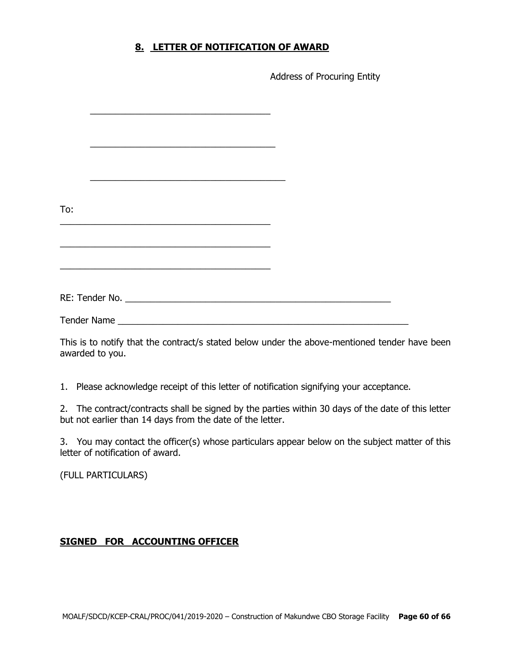## **8. LETTER OF NOTIFICATION OF AWARD**

Address of Procuring Entity

| To:                |                                                                                                                                                                                                                               |  |
|--------------------|-------------------------------------------------------------------------------------------------------------------------------------------------------------------------------------------------------------------------------|--|
|                    |                                                                                                                                                                                                                               |  |
|                    |                                                                                                                                                                                                                               |  |
|                    |                                                                                                                                                                                                                               |  |
|                    | the control of the control of the control of the control of the control of the control of the control of the control of the control of the control of the control of the control of the control of the control of the control |  |
|                    |                                                                                                                                                                                                                               |  |
|                    |                                                                                                                                                                                                                               |  |
| <b>Tender Name</b> |                                                                                                                                                                                                                               |  |

This is to notify that the contract/s stated below under the above-mentioned tender have been awarded to you.

1. Please acknowledge receipt of this letter of notification signifying your acceptance.

2. The contract/contracts shall be signed by the parties within 30 days of the date of this letter but not earlier than 14 days from the date of the letter.

3. You may contact the officer(s) whose particulars appear below on the subject matter of this letter of notification of award.

(FULL PARTICULARS)

# **SIGNED FOR ACCOUNTING OFFICER**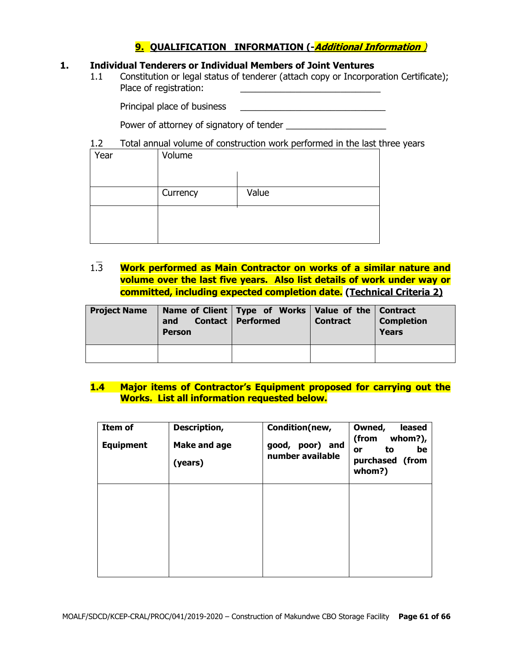# **9. QUALIFICATION INFORMATION (-Additional Information** )

#### **1. Individual Tenderers or Individual Members of Joint Ventures**

1.1 Constitution or legal status of tenderer (attach copy or Incorporation Certificate); Place of registration:

Principal place of business \_\_\_\_\_\_\_\_\_\_\_\_\_\_\_\_\_\_\_\_\_\_\_\_\_\_\_\_\_

Power of attorney of signatory of tender

#### 1.2 Total annual volume of construction work performed in the last three years

| Year | Volume   |       |
|------|----------|-------|
|      |          |       |
|      | Currency | Value |
|      |          |       |
|      |          |       |

1.3 **Work performed as Main Contractor on works of a similar nature and volume over the last five years. Also list details of work under way or committed, including expected completion date. (Technical Criteria 2)**

| <b>Project Name</b> | and<br><b>Person</b> | Name of Client   Type of Works   Value of the   Contract<br>Contact   Performed | <b>Contract</b> | <b>Completion</b><br><b>Years</b> |
|---------------------|----------------------|---------------------------------------------------------------------------------|-----------------|-----------------------------------|
|                     |                      |                                                                                 |                 |                                   |

#### **1.4 Major items of Contractor's Equipment proposed for carrying out the Works. List all information requested below.**

| Item of<br><b>Equipment</b> | Description,<br><b>Make and age</b><br>(years) | Condition(new,<br>good, poor) and<br>number available | Owned,<br>leased<br>whom?),<br>(from<br>to<br>be<br>or<br>purchased (from<br>whom?) |
|-----------------------------|------------------------------------------------|-------------------------------------------------------|-------------------------------------------------------------------------------------|
|                             |                                                |                                                       |                                                                                     |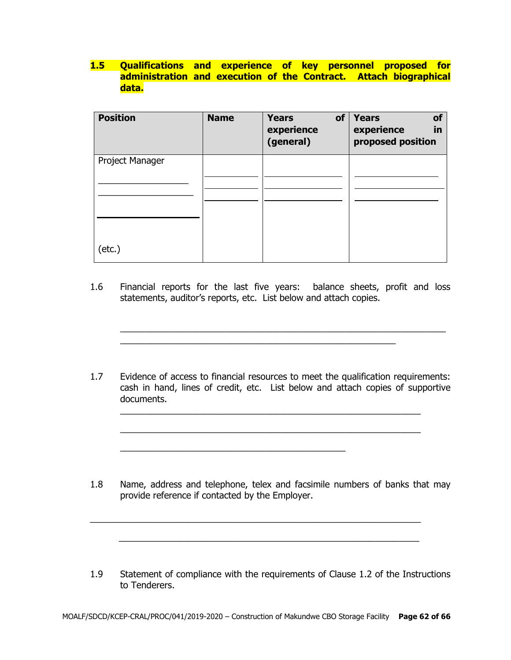# **1.5 Qualifications and experience of key personnel proposed for administration and execution of the Contract. Attach biographical data.**

| <b>Position</b> | <b>Name</b> | of<br><b>Years</b><br>experience<br>(general) | <b>Years</b><br>of<br>experience<br>in<br>proposed position |
|-----------------|-------------|-----------------------------------------------|-------------------------------------------------------------|
| Project Manager |             |                                               |                                                             |
|                 |             |                                               |                                                             |
|                 |             |                                               |                                                             |
| $(\text{etc.})$ |             |                                               |                                                             |

1.6 Financial reports for the last five years: balance sheets, profit and loss statements, auditor's reports, etc. List below and attach copies.

\_\_\_\_\_\_\_\_\_\_\_\_\_\_\_\_\_\_\_\_\_\_\_\_\_\_\_\_\_\_\_\_\_\_\_\_\_\_\_\_\_\_\_\_\_\_\_\_\_\_\_\_\_\_\_

 $\_$  , and the set of the set of the set of the set of the set of the set of the set of the set of the set of the set of the set of the set of the set of the set of the set of the set of the set of the set of the set of th

1.7 Evidence of access to financial resources to meet the qualification requirements: cash in hand, lines of credit, etc. List below and attach copies of supportive documents.

\_\_\_\_\_\_\_\_\_\_\_\_\_\_\_\_\_\_\_\_\_\_\_\_\_\_\_\_\_\_\_\_\_\_\_\_\_\_\_\_\_\_\_\_\_\_\_\_\_\_\_\_\_\_\_\_\_\_\_\_

 $\_$  , and the set of the set of the set of the set of the set of the set of the set of the set of the set of the set of the set of the set of the set of the set of the set of the set of the set of the set of the set of th

\_\_\_\_\_\_\_\_\_\_\_\_\_\_\_\_\_\_\_\_\_\_\_\_\_\_\_\_\_\_\_\_\_\_\_\_\_\_\_\_\_\_\_\_\_

1.8 Name, address and telephone, telex and facsimile numbers of banks that may provide reference if contacted by the Employer.

1.9 Statement of compliance with the requirements of Clause 1.2 of the Instructions to Tenderers.

 $\_$  , and the set of the set of the set of the set of the set of the set of the set of the set of the set of the set of the set of the set of the set of the set of the set of the set of the set of the set of the set of th

 $\frac{1}{2}$  ,  $\frac{1}{2}$  ,  $\frac{1}{2}$  ,  $\frac{1}{2}$  ,  $\frac{1}{2}$  ,  $\frac{1}{2}$  ,  $\frac{1}{2}$  ,  $\frac{1}{2}$  ,  $\frac{1}{2}$  ,  $\frac{1}{2}$  ,  $\frac{1}{2}$  ,  $\frac{1}{2}$  ,  $\frac{1}{2}$  ,  $\frac{1}{2}$  ,  $\frac{1}{2}$  ,  $\frac{1}{2}$  ,  $\frac{1}{2}$  ,  $\frac{1}{2}$  ,  $\frac{1$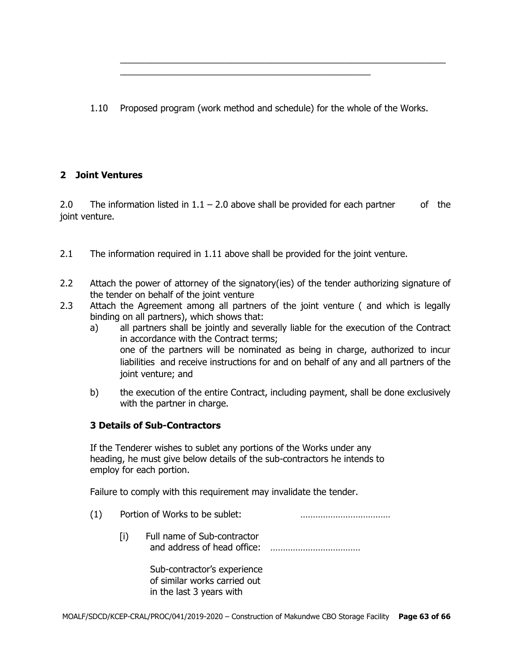1.10 Proposed program (work method and schedule) for the whole of the Works.

\_\_\_\_\_\_\_\_\_\_\_\_\_\_\_\_\_\_\_\_\_\_\_\_\_\_\_\_\_\_\_\_\_\_\_\_\_\_\_\_\_\_\_\_\_\_\_\_\_\_

 $\_$  , and the set of the set of the set of the set of the set of the set of the set of the set of the set of the set of the set of the set of the set of the set of the set of the set of the set of the set of the set of th

# **2 Joint Ventures**

2.0 The information listed in  $1.1 - 2.0$  above shall be provided for each partner of the joint venture.

- 2.1 The information required in 1.11 above shall be provided for the joint venture.
- 2.2 Attach the power of attorney of the signatory(ies) of the tender authorizing signature of the tender on behalf of the joint venture
- 2.3 Attach the Agreement among all partners of the joint venture ( and which is legally binding on all partners), which shows that:
	- a) all partners shall be jointly and severally liable for the execution of the Contract in accordance with the Contract terms; one of the partners will be nominated as being in charge, authorized to incur liabilities and receive instructions for and on behalf of any and all partners of the joint venture; and
	- b) the execution of the entire Contract, including payment, shall be done exclusively with the partner in charge.

# **3 Details of Sub-Contractors**

If the Tenderer wishes to sublet any portions of the Works under any heading, he must give below details of the sub-contractors he intends to employ for each portion.

Failure to comply with this requirement may invalidate the tender.

- (1) Portion of Works to be sublet: ………………………………
	- [i) Full name of Sub-contractor and address of head office: ………………………………

Sub-contractor's experience of similar works carried out in the last 3 years with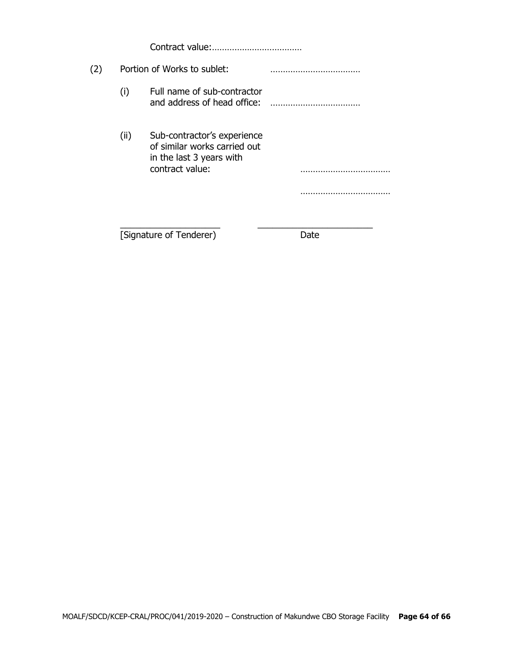Contract value:………………………………

# (2) Portion of Works to sublet: ……………………………… (i) Full name of sub-contractor and address of head office: ……………………………… (ii) Sub-contractor's experience of similar works carried out in the last 3 years with contract value: ……………………………… ……………………………… \_\_\_\_\_\_\_\_\_\_\_\_\_\_\_\_\_\_\_\_ \_\_\_\_\_\_\_\_\_\_\_\_\_\_\_\_\_\_\_\_\_\_\_

[Signature of Tenderer) Date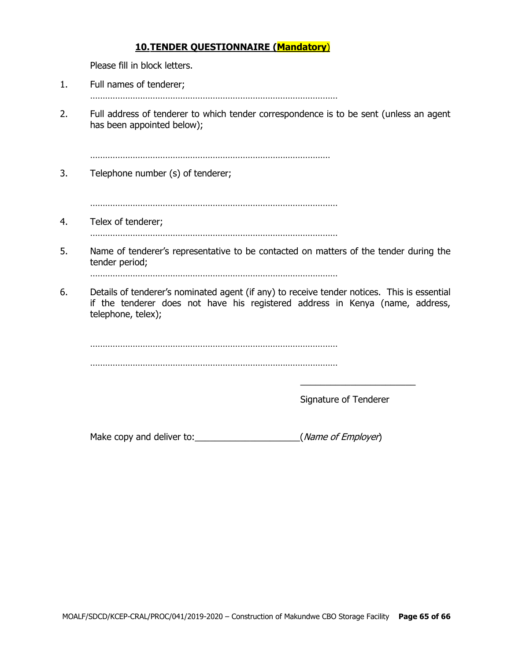# **10.TENDER QUESTIONNAIRE (Mandatory**)

Please fill in block letters.

- 1. Full names of tenderer;
	- ………………………………………………………………………………………
- 2. Full address of tenderer to which tender correspondence is to be sent (unless an agent has been appointed below);

……………………………………………………………………………………

3. Telephone number (s) of tenderer;

………………………………………………………………………………………

4. Telex of tenderer;

………………………………………………………………………………………

5. Name of tenderer's representative to be contacted on matters of the tender during the tender period;

………………………………………………………………………………………

6. Details of tenderer's nominated agent (if any) to receive tender notices. This is essential if the tenderer does not have his registered address in Kenya (name, address, telephone, telex);

. The same state of the state of the state of the state of the state of the state of the state of the state of the state of the state of the state of the state of the state of the state of the state of the state of the st ………………………………………………………………………………………

Signature of Tenderer

\_\_\_\_\_\_\_\_\_\_\_\_\_\_\_\_\_\_\_\_\_\_\_

Make copy and deliver to:\_\_\_\_\_\_\_\_\_\_\_\_\_\_\_\_\_\_\_\_\_(Name of Employer)